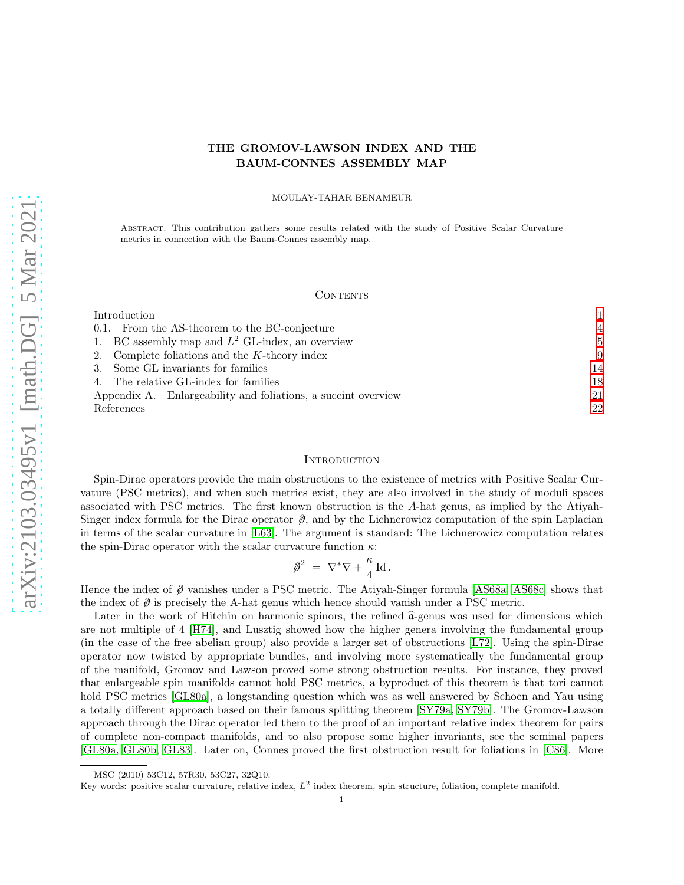# THE GROMOV-LAWSON INDEX AND THE BAUM-CONNES ASSEMBLY MAP

MOULAY-TAHAR BENAMEUR

Abstract. This contribution gathers some results related with the study of Positive Scalar Curvature metrics in connection with the Baum-Connes assembly map.

#### CONTENTS

| Introduction                                                  |                |
|---------------------------------------------------------------|----------------|
| 0.1. From the AS-theorem to the BC-conjecture                 | $\overline{4}$ |
| 1. BC assembly map and $L^2$ GL-index, an overview            | $\overline{5}$ |
| 2. Complete foliations and the $K$ -theory index              | -9             |
| 3. Some GL invariants for families                            | 14             |
| 4. The relative GL-index for families                         | 18             |
| Appendix A. Enlargeability and foliations, a succint overview | 21             |
| References                                                    | 22             |

### <span id="page-0-0"></span>**INTRODUCTION**

Spin-Dirac operators provide the main obstructions to the existence of metrics with Positive Scalar Curvature (PSC metrics), and when such metrics exist, they are also involved in the study of moduli spaces associated with PSC metrics. The first known obstruction is the A-hat genus, as implied by the Atiyah-Singer index formula for the Dirac operator  $\hat{\varnothing}$ , and by the Lichnerowicz computation of the spin Laplacian in terms of the scalar curvature in [\[L63\]](#page-22-0). The argument is standard: The Lichnerowicz computation relates the spin-Dirac operator with the scalar curvature function  $\kappa$ :

$$
\mathcal{D}^2 = \nabla^* \nabla + \frac{\kappa}{4} \operatorname{Id}.
$$

Hence the index of  $\partial$  vanishes under a PSC metric. The Atiyah-Singer formula [\[AS68a,](#page-21-1) [AS68c\]](#page-21-2) shows that the index of  $\hat{\phi}$  is precisely the A-hat genus which hence should vanish under a PSC metric.

Later in the work of Hitchin on harmonic spinors, the refined  $\hat{\mathfrak{a}}$ -genus was used for dimensions which are not multiple of 4 [\[H74\]](#page-22-1), and Lusztig showed how the higher genera involving the fundamental group (in the case of the free abelian group) also provide a larger set of obstructions [\[L72\]](#page-22-2). Using the spin-Dirac operator now twisted by appropriate bundles, and involving more systematically the fundamental group of the manifold, Gromov and Lawson proved some strong obstruction results. For instance, they proved that enlargeable spin manifolds cannot hold PSC metrics, a byproduct of this theorem is that tori cannot hold PSC metrics [\[GL80a\]](#page-22-3), a longstanding question which was as well answered by Schoen and Yau using a totally different approach based on their famous splitting theorem [\[SY79a,](#page-23-0) [SY79b\]](#page-23-1). The Gromov-Lawson approach through the Dirac operator led them to the proof of an important relative index theorem for pairs of complete non-compact manifolds, and to also propose some higher invariants, see the seminal papers [\[GL80a,](#page-22-3) [GL80b,](#page-22-4) [GL83\]](#page-22-5). Later on, Connes proved the first obstruction result for foliations in [\[C86\]](#page-22-6). More

MSC (2010) 53C12, 57R30, 53C27, 32Q10.

Key words: positive scalar curvature, relative index,  $L^2$  index theorem, spin structure, foliation, complete manifold.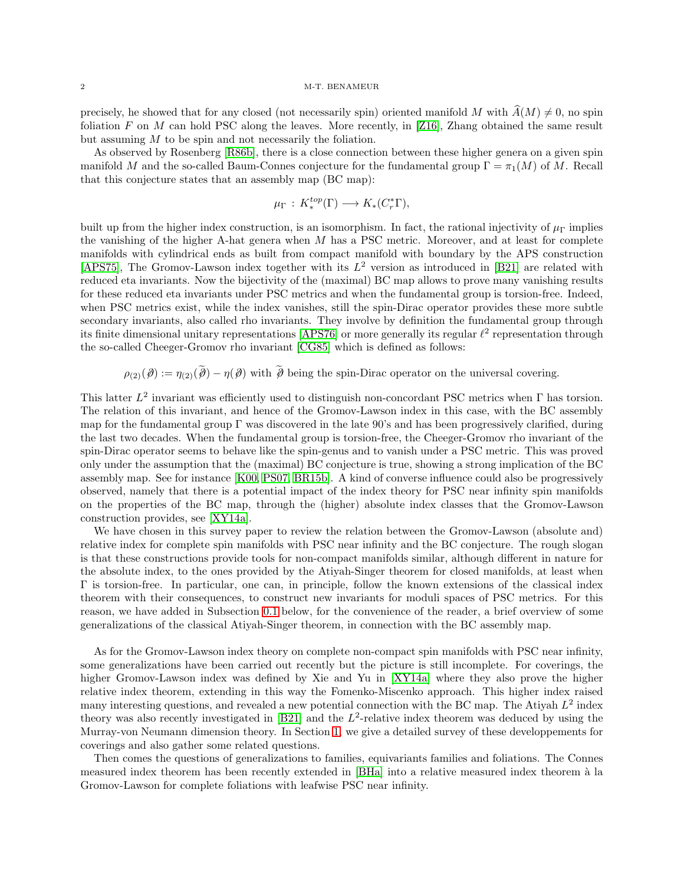precisely, he showed that for any closed (not necessarily spin) oriented manifold M with  $A(M) \neq 0$ , no spin foliation F on M can hold PSC along the leaves. More recently, in [\[Z16\]](#page-23-2), Zhang obtained the same result but assuming M to be spin and not necessarily the foliation.

As observed by Rosenberg [\[R86b\]](#page-23-3), there is a close connection between these higher genera on a given spin manifold M and the so-called Baum-Connes conjecture for the fundamental group  $\Gamma = \pi_1(M)$  of M. Recall that this conjecture states that an assembly map (BC map):

$$
\mu_{\Gamma} : K^{top}_{*}(\Gamma) \longrightarrow K_{*}(C_{r}^{*}\Gamma),
$$

built up from the higher index construction, is an isomorphism. In fact, the rational injectivity of  $\mu_{\Gamma}$  implies the vanishing of the higher A-hat genera when  $M$  has a PSC metric. Moreover, and at least for complete manifolds with cylindrical ends as built from compact manifold with boundary by the APS construction [\[APS75\]](#page-21-3), The Gromov-Lawson index together with its  $L^2$  version as introduced in [\[B21\]](#page-21-4) are related with reduced eta invariants. Now the bijectivity of the (maximal) BC map allows to prove many vanishing results for these reduced eta invariants under PSC metrics and when the fundamental group is torsion-free. Indeed, when PSC metrics exist, while the index vanishes, still the spin-Dirac operator provides these more subtle secondary invariants, also called rho invariants. They involve by definition the fundamental group through its finite dimensional unitary representations [\[APS76\]](#page-21-5) or more generally its regular  $\ell^2$  representation through the so-called Cheeger-Gromov rho invariant [\[CG85\]](#page-22-7) which is defined as follows:

 $\rho_{(2)}(\partial) := \eta_{(2)}(\tilde{\partial}) - \eta(\partial)$  with  $\tilde{\partial}$  being the spin-Dirac operator on the universal covering.

This latter  $L^2$  invariant was efficiently used to distinguish non-concordant PSC metrics when  $\Gamma$  has torsion. The relation of this invariant, and hence of the Gromov-Lawson index in this case, with the BC assembly map for the fundamental group  $\Gamma$  was discovered in the late 90's and has been progressively clarified, during the last two decades. When the fundamental group is torsion-free, the Cheeger-Gromov rho invariant of the spin-Dirac operator seems to behave like the spin-genus and to vanish under a PSC metric. This was proved only under the assumption that the (maximal) BC conjecture is true, showing a strong implication of the BC assembly map. See for instance [\[K00,](#page-22-8) [PS07,](#page-23-4) [BR15b\]](#page-21-6). A kind of converse influence could also be progressively observed, namely that there is a potential impact of the index theory for PSC near infinity spin manifolds on the properties of the BC map, through the (higher) absolute index classes that the Gromov-Lawson construction provides, see [\[XY14a\]](#page-23-5).

We have chosen in this survey paper to review the relation between the Gromov-Lawson (absolute and) relative index for complete spin manifolds with PSC near infinity and the BC conjecture. The rough slogan is that these constructions provide tools for non-compact manifolds similar, although different in nature for the absolute index, to the ones provided by the Atiyah-Singer theorem for closed manifolds, at least when Γ is torsion-free. In particular, one can, in principle, follow the known extensions of the classical index theorem with their consequences, to construct new invariants for moduli spaces of PSC metrics. For this reason, we have added in Subsection [0.1](#page-3-0) below, for the convenience of the reader, a brief overview of some generalizations of the classical Atiyah-Singer theorem, in connection with the BC assembly map.

As for the Gromov-Lawson index theory on complete non-compact spin manifolds with PSC near infinity, some generalizations have been carried out recently but the picture is still incomplete. For coverings, the higher Gromov-Lawson index was defined by Xie and Yu in [\[XY14a\]](#page-23-5) where they also prove the higher relative index theorem, extending in this way the Fomenko-Miscenko approach. This higher index raised many interesting questions, and revealed a new potential connection with the BC map. The Atiyah  $L^2$  index theory was also recently investigated in  $[B21]$  and the  $L^2$ -relative index theorem was deduced by using the Murray-von Neumann dimension theory. In Section [1,](#page-4-0) we give a detailed survey of these developpements for coverings and also gather some related questions.

Then comes the questions of generalizations to families, equivariants families and foliations. The Connes measured index theorem has been recently extended in [\[BHa\]](#page-21-7) into a relative measured index theorem à la Gromov-Lawson for complete foliations with leafwise PSC near infinity.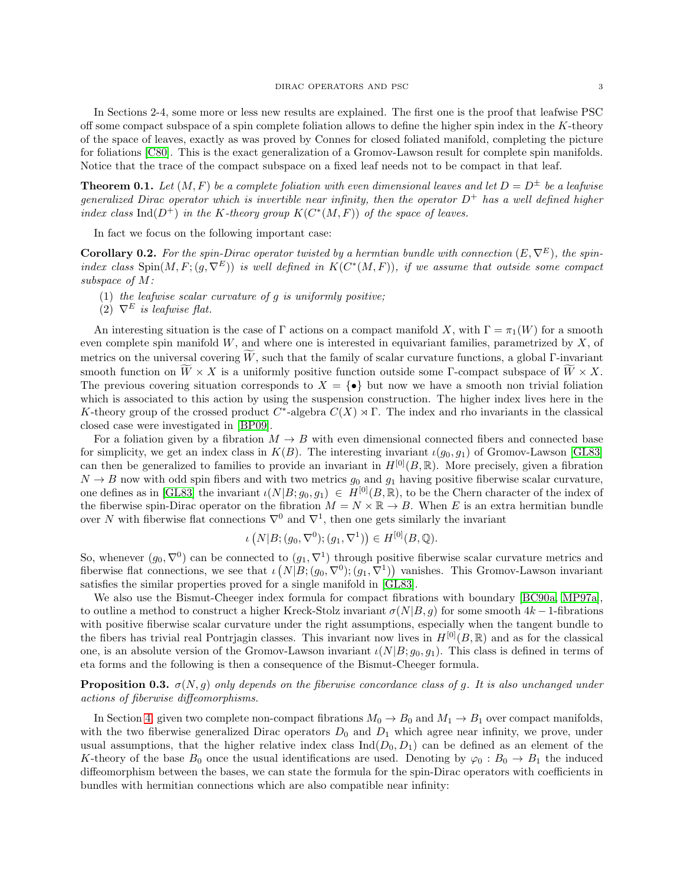In Sections 2-4, some more or less new results are explained. The first one is the proof that leafwise PSC off some compact subspace of a spin complete foliation allows to define the higher spin index in the  $K$ -theory of the space of leaves, exactly as was proved by Connes for closed foliated manifold, completing the picture for foliations [\[C80\]](#page-22-9). This is the exact generalization of a Gromov-Lawson result for complete spin manifolds. Notice that the trace of the compact subspace on a fixed leaf needs not to be compact in that leaf.

**Theorem 0.1.** Let  $(M, F)$  be a complete foliation with even dimensional leaves and let  $D = D^{\pm}$  be a leafwise generalized Dirac operator which is invertible near infinity, then the operator  $D^+$  has a well defined higher index class Ind( $D^+$ ) in the K-theory group  $K(C^*(M, F))$  of the space of leaves.

In fact we focus on the following important case:

**Corollary 0.2.** For the spin-Dirac operator twisted by a hermtian bundle with connection  $(E, \nabla^E)$ , the spinindex class  $Spin(M, F; (g, \nabla^E))$  is well defined in  $K(C^*(M, F))$ , if we assume that outside some compact subspace of M:

- (1) the leafwise scalar curvature of  $g$  is uniformly positive;
- (2)  $\nabla^E$  is leafwise flat.

An interesting situation is the case of Γ actions on a compact manifold X, with  $\Gamma = \pi_1(W)$  for a smooth even complete spin manifold  $W$ , and where one is interested in equivariant families, parametrized by  $X$ , of metrics on the universal covering W, such that the family of scalar curvature functions, a global Γ-invariant smooth function on  $\widetilde{W} \times X$  is a uniformly positive function outside some Γ-compact subspace of  $\widetilde{W} \times X$ . The previous covering situation corresponds to  $X = \{ \bullet \}$  but now we have a smooth non trivial foliation which is associated to this action by using the suspension construction. The higher index lives here in the K-theory group of the crossed product  $C^*$ -algebra  $C(X) \rtimes \Gamma$ . The index and rho invariants in the classical closed case were investigated in [\[BP09\]](#page-21-8).

For a foliation given by a fibration  $M \to B$  with even dimensional connected fibers and connected base for simplicity, we get an index class in  $K(B)$ . The interesting invariant  $\iota(g_0, g_1)$  of Gromov-Lawson [\[GL83\]](#page-22-5) can then be generalized to families to provide an invariant in  $H^{[0]}(B,\mathbb{R})$ . More precisely, given a fibration  $N \to B$  now with odd spin fibers and with two metrics  $g_0$  and  $g_1$  having positive fiberwise scalar curvature, one defines as in [\[GL83\]](#page-22-5) the invariant  $\iota(N|B; g_0, g_1) \in H^{[0]}(B, \mathbb{R})$ , to be the Chern character of the index of the fiberwise spin-Dirac operator on the fibration  $M = N \times \mathbb{R} \to B$ . When E is an extra hermitian bundle over N with fiberwise flat connections  $\nabla^0$  and  $\nabla^1$ , then one gets similarly the invariant

$$
\iota\left(N|B;(g_0,\nabla^0);(g_1,\nabla^1)\right)\in H^{[0]}(B,\mathbb{Q}).
$$

So, whenever  $(g_0, \nabla^0)$  can be connected to  $(g_1, \nabla^1)$  through positive fiberwise scalar curvature metrics and fiberwise flat connections, we see that  $\iota(N|B;(g_0,\nabla^0);(g_1,\nabla^1))$  vanishes. This Gromov-Lawson invariant satisfies the similar properties proved for a single manifold in [\[GL83\]](#page-22-5).

We also use the Bismut-Cheeger index formula for compact fibrations with boundary [\[BC90a,](#page-21-9) [MP97a\]](#page-22-10), to outline a method to construct a higher Kreck-Stolz invariant  $\sigma(N|B, q)$  for some smooth  $4k-1$ -fibrations with positive fiberwise scalar curvature under the right assumptions, especially when the tangent bundle to the fibers has trivial real Pontrjagin classes. This invariant now lives in  $H^{[0]}(B,\mathbb{R})$  and as for the classical one, is an absolute version of the Gromov-Lawson invariant  $\iota(N|B; g_0, g_1)$ . This class is defined in terms of eta forms and the following is then a consequence of the Bismut-Cheeger formula.

**Proposition 0.3.**  $\sigma(N, q)$  only depends on the fiberwise concordance class of q. It is also unchanged under actions of fiberwise diffeomorphisms.

In Section [4,](#page-17-0) given two complete non-compact fibrations  $M_0 \to B_0$  and  $M_1 \to B_1$  over compact manifolds, with the two fiberwise generalized Dirac operators  $D_0$  and  $D_1$  which agree near infinity, we prove, under usual assumptions, that the higher relative index class  $\text{Ind}(D_0, D_1)$  can be defined as an element of the K-theory of the base  $B_0$  once the usual identifications are used. Denoting by  $\varphi_0 : B_0 \to B_1$  the induced diffeomorphism between the bases, we can state the formula for the spin-Dirac operators with coefficients in bundles with hermitian connections which are also compatible near infinity: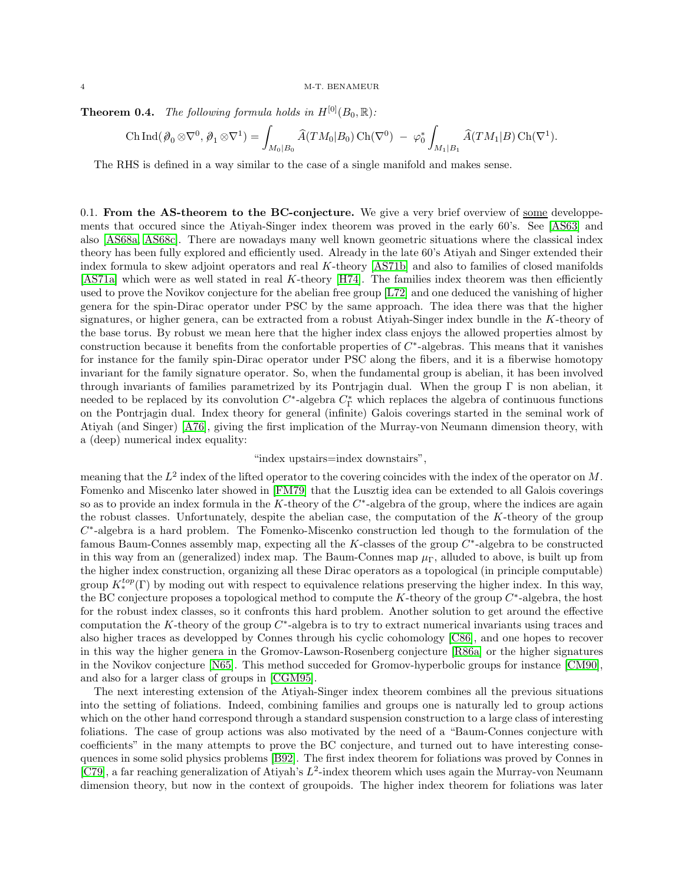**Theorem 0.4.** The following formula holds in  $H^{[0]}(B_0, \mathbb{R})$ :

$$
\operatorname{Ch} \operatorname{Ind} (\mathcal{D}_0 \otimes \nabla^0, \mathcal{D}_1 \otimes \nabla^1) = \int_{M_0|B_0} \widehat{A}(TM_0|B_0) \operatorname{Ch}(\nabla^0) - \varphi_0^* \int_{M_1|B_1} \widehat{A}(TM_1|B) \operatorname{Ch}(\nabla^1).
$$

The RHS is defined in a way similar to the case of a single manifold and makes sense.

<span id="page-3-0"></span>0.1. From the AS-theorem to the BC-conjecture. We give a very brief overview of some developpements that occured since the Atiyah-Singer index theorem was proved in the early 60's. See [\[AS63\]](#page-21-10) and also [\[AS68a,](#page-21-1) [AS68c\]](#page-21-2). There are nowadays many well known geometric situations where the classical index theory has been fully explored and efficiently used. Already in the late 60's Atiyah and Singer extended their index formula to skew adjoint operators and real K-theory [\[AS71b\]](#page-21-11) and also to families of closed manifolds [\[AS71a\]](#page-21-12) which were as well stated in real K-theory [\[H74\]](#page-22-1). The families index theorem was then efficiently used to prove the Novikov conjecture for the abelian free group [\[L72\]](#page-22-2) and one deduced the vanishing of higher genera for the spin-Dirac operator under PSC by the same approach. The idea there was that the higher signatures, or higher genera, can be extracted from a robust Atiyah-Singer index bundle in the K-theory of the base torus. By robust we mean here that the higher index class enjoys the allowed properties almost by construction because it benefits from the confortable properties of  $C^*$ -algebras. This means that it vanishes for instance for the family spin-Dirac operator under PSC along the fibers, and it is a fiberwise homotopy invariant for the family signature operator. So, when the fundamental group is abelian, it has been involved through invariants of families parametrized by its Pontrjagin dual. When the group Γ is non abelian, it needed to be replaced by its convolution  $C^*$ -algebra  $C^*_{\Gamma}$  which replaces the algebra of continuous functions on the Pontrjagin dual. Index theory for general (infinite) Galois coverings started in the seminal work of Atiyah (and Singer) [\[A76\]](#page-21-13), giving the first implication of the Murray-von Neumann dimension theory, with a (deep) numerical index equality:

# "index upstairs=index downstairs",

meaning that the  $L^2$  index of the lifted operator to the covering coincides with the index of the operator on M. Fomenko and Miscenko later showed in [\[FM79\]](#page-22-11) that the Lusztig idea can be extended to all Galois coverings so as to provide an index formula in the K-theory of the  $C^*$ -algebra of the group, where the indices are again the robust classes. Unfortunately, despite the abelian case, the computation of the K-theory of the group  $C^*$ -algebra is a hard problem. The Fomenko-Miscenko construction led though to the formulation of the famous Baum-Connes assembly map, expecting all the  $K$ -classes of the group  $C^*$ -algebra to be constructed in this way from an (generalized) index map. The Baum-Connes map  $\mu_{\Gamma}$ , alluded to above, is built up from the higher index construction, organizing all these Dirac operators as a topological (in principle computable) group  $K_*^{top}(\Gamma)$  by moding out with respect to equivalence relations preserving the higher index. In this way, the BC conjecture proposes a topological method to compute the  $K$ -theory of the group  $C^*$ -algebra, the host for the robust index classes, so it confronts this hard problem. Another solution to get around the effective computation the K-theory of the group  $C^*$ -algebra is to try to extract numerical invariants using traces and also higher traces as developped by Connes through his cyclic cohomology [\[C86\]](#page-22-12), and one hopes to recover in this way the higher genera in the Gromov-Lawson-Rosenberg conjecture [\[R86a\]](#page-23-6) or the higher signatures in the Novikov conjecture [\[N65\]](#page-23-7). This method succeded for Gromov-hyperbolic groups for instance [\[CM90\]](#page-22-13), and also for a larger class of groups in [\[CGM95\]](#page-22-14).

The next interesting extension of the Atiyah-Singer index theorem combines all the previous situations into the setting of foliations. Indeed, combining families and groups one is naturally led to group actions which on the other hand correspond through a standard suspension construction to a large class of interesting foliations. The case of group actions was also motivated by the need of a "Baum-Connes conjecture with coefficients" in the many attempts to prove the BC conjecture, and turned out to have interesting consequences in some solid physics problems [\[B92\]](#page-21-14). The first index theorem for foliations was proved by Connes in [\[C79\]](#page-22-15), a far reaching generalization of Atiyah's  $L^2$ -index theorem which uses again the Murray-von Neumann dimension theory, but now in the context of groupoids. The higher index theorem for foliations was later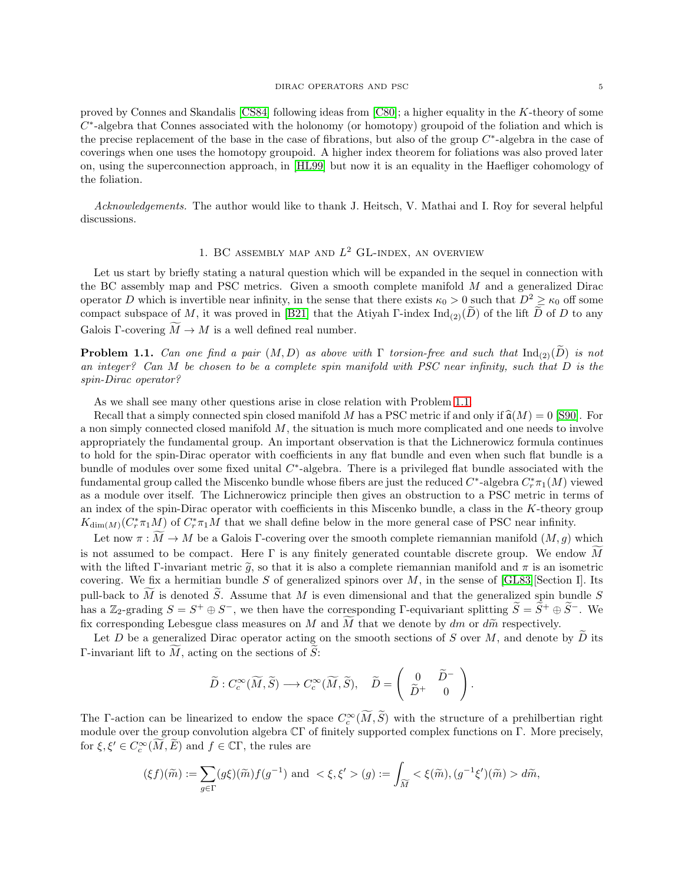proved by Connes and Skandalis [\[CS84\]](#page-22-16) following ideas from [\[C80\]](#page-22-9); a higher equality in the K-theory of some  $C^*$ -algebra that Connes associated with the holonomy (or homotopy) groupoid of the foliation and which is the precise replacement of the base in the case of fibrations, but also of the group  $C^*$ -algebra in the case of coverings when one uses the homotopy groupoid. A higher index theorem for foliations was also proved later on, using the superconnection approach, in [\[HL99\]](#page-22-17) but now it is an equality in the Haefliger cohomology of the foliation.

<span id="page-4-0"></span>Acknowledgements. The author would like to thank J. Heitsch, V. Mathai and I. Roy for several helpful discussions.

# 1. BC ASSEMBLY MAP AND  $L^2$  GL-INDEX, AN OVERVIEW

Let us start by briefly stating a natural question which will be expanded in the sequel in connection with the BC assembly map and PSC metrics. Given a smooth complete manifold M and a generalized Dirac operator D which is invertible near infinity, in the sense that there exists  $\kappa_0 > 0$  such that  $D^2 \ge \kappa_0$  off some compact subspace of M, it was proved in [\[B21\]](#page-21-4) that the Atiyah Γ-index  $\text{Ind}_{(2)}(\tilde{D})$  of the lift  $\tilde{D}$  of D to any Galois Γ-covering  $\widetilde{M} \to M$  is a well defined real number.

<span id="page-4-1"></span>**Problem 1.1.** Can one find a pair  $(M, D)$  as above with  $\Gamma$  torsion-free and such that  $\text{Ind}_{(2)}(\widetilde{D})$  is not an integer? Can M be chosen to be a complete spin manifold with PSC near infinity, such that D is the spin-Dirac operator?

As we shall see many other questions arise in close relation with Problem [1.1.](#page-4-1)

Recall that a simply connected spin closed manifold M has a PSC metric if and only if  $\widehat{\mathfrak{a}}(M) = 0$  [\[S90\]](#page-23-8). For a non simply connected closed manifold  $M$ , the situation is much more complicated and one needs to involve appropriately the fundamental group. An important observation is that the Lichnerowicz formula continues to hold for the spin-Dirac operator with coefficients in any flat bundle and even when such flat bundle is a bundle of modules over some fixed unital  $C^*$ -algebra. There is a privileged flat bundle associated with the fundamental group called the Miscenko bundle whose fibers are just the reduced  $C^*$ -algebra  $C^*_r \pi_1(M)$  viewed as a module over itself. The Lichnerowicz principle then gives an obstruction to a PSC metric in terms of an index of the spin-Dirac operator with coefficients in this Miscenko bundle, a class in the K-theory group  $K_{\dim(M)}(C_r^*\pi_1M)$  of  $C_r^*\pi_1M$  that we shall define below in the more general case of PSC near infinity.

Let now  $\pi : M \to M$  be a Galois Γ-covering over the smooth complete riemannian manifold  $(M, g)$  which is not assumed to be compact. Here  $\Gamma$  is any finitely generated countable discrete group. We endow M with the lifted Γ-invariant metric  $\tilde{g}$ , so that it is also a complete riemannian manifold and  $\pi$  is an isometric covering. We fix a hermitian bundle S of generalized spinors over M, in the sense of  $[GLS3]$ [Section I]. Its pull-back to  $\tilde{M}$  is denoted  $\tilde{S}$ . Assume that M is even dimensional and that the generalized spin bundle S has a Z<sub>2</sub>-grading  $S = S^+ \oplus S^-$ , we then have the corresponding Γ-equivariant splitting  $S = S^+ \oplus S^-$ . We fix corresponding Lebesgue class measures on M and  $\widetilde{M}$  that we denote by dm or d $\widetilde{m}$  respectively.

Let  $D$  be a generalized Dirac operator acting on the smooth sections of  $S$  over  $M$ , and denote by  $D$  its Γ-invariant lift to  $M$ , acting on the sections of  $\tilde{S}$ :

$$
\widetilde{D}: C_c^{\infty}(\widetilde{M}, \widetilde{S}) \longrightarrow C_c^{\infty}(\widetilde{M}, \widetilde{S}), \quad \widetilde{D} = \left(\begin{array}{cc} 0 & \widetilde{D}^- \\ \widetilde{D}^+ & 0 \end{array}\right).
$$

The Γ-action can be linearized to endow the space  $C_c^{\infty}(M, S)$  with the structure of a prehilbertian right module over the group convolution algebra CΓ of finitely supported complex functions on Γ. More precisely, for  $\xi, \xi' \in C_c^{\infty}(\overline{M}, \overline{E})$  and  $f \in \mathbb{C}\Gamma$ , the rules are

$$
(\xi f)(\widetilde{m}) := \sum_{g \in \Gamma} (g\xi)(\widetilde{m}) f(g^{-1}) \text{ and } <\xi, \xi' > (g) := \int_{\widetilde{M}} <\xi(\widetilde{m}), (g^{-1}\xi')(\widetilde{m}) > d\widetilde{m},
$$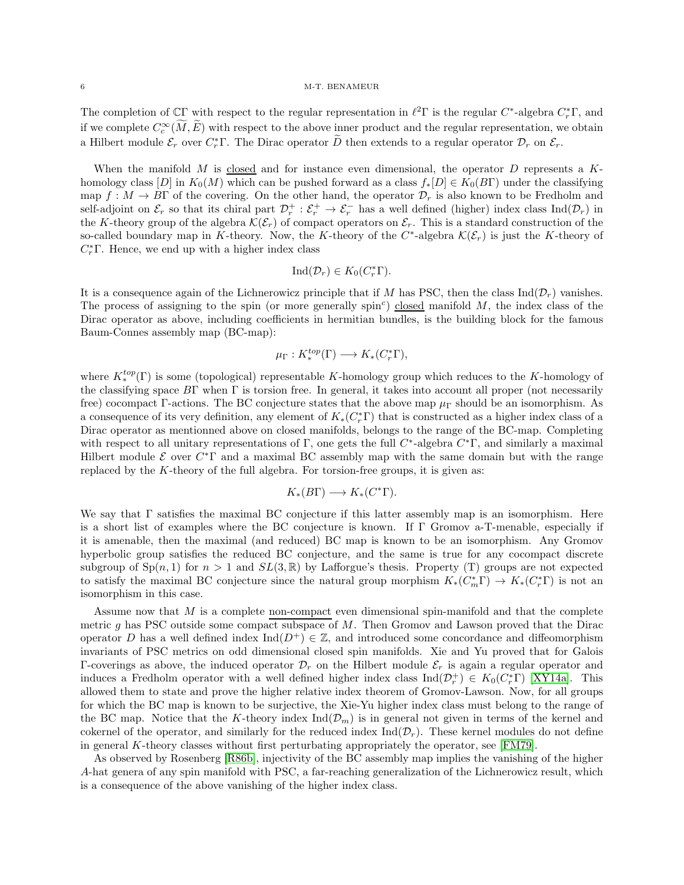The completion of  $\mathbb{C}\Gamma$  with respect to the regular representation in  $\ell^2\Gamma$  is the regular  $C^*$ -algebra  $C^*_r\Gamma$ , and if we complete  $C_c^{\infty}(M, E)$  with respect to the above inner product and the regular representation, we obtain a Hilbert module  $\mathcal{E}_r$  over  $C_r^*$  T. The Dirac operator  $\overline{D}$  then extends to a regular operator  $\mathcal{D}_r$  on  $\mathcal{E}_r$ .

When the manifold M is closed and for instance even dimensional, the operator D represents a  $K$ homology class  $[D]$  in  $K_0(M)$  which can be pushed forward as a class  $f_*[D] \in K_0(B\Gamma)$  under the classifying map  $f: M \to B\Gamma$  of the covering. On the other hand, the operator  $\mathcal{D}_r$  is also known to be Fredholm and self-adjoint on  $\mathcal{E}_r$  so that its chiral part  $\mathcal{D}_r^+$  :  $\mathcal{E}_r^+$   $\to \mathcal{E}_r^-$  has a well defined (higher) index class  $\text{Ind}(\mathcal{D}_r)$  in the K-theory group of the algebra  $\mathcal{K}(\mathcal{E}_r)$  of compact operators on  $\mathcal{E}_r$ . This is a standard construction of the so-called boundary map in K-theory. Now, the K-theory of the  $C^*$ -algebra  $\mathcal{K}(\mathcal{E}_r)$  is just the K-theory of  $C_r^*$  F. Hence, we end up with a higher index class

$$
\mathrm{Ind}(\mathcal{D}_r) \in K_0(C_r^*\Gamma).
$$

It is a consequence again of the Lichnerowicz principle that if M has PSC, then the class  $\text{Ind}(\mathcal{D}_r)$  vanishes. The process of assigning to the spin (or more generally spin<sup>c</sup>) closed manifold  $M$ , the index class of the Dirac operator as above, including coefficients in hermitian bundles, is the building block for the famous Baum-Connes assembly map (BC-map):

$$
\mu_{\Gamma}: K^{top}_{*}(\Gamma) \longrightarrow K_{*}(C_{r}^{*}\Gamma),
$$

where  $K_*^{top}(\Gamma)$  is some (topological) representable K-homology group which reduces to the K-homology of the classifying space BΓ when Γ is torsion free. In general, it takes into account all proper (not necessarily free) cocompact Γ-actions. The BC conjecture states that the above map  $\mu_{\Gamma}$  should be an isomorphism. As a consequence of its very definition, any element of  $K_*(C^*_r\Gamma)$  that is constructed as a higher index class of a Dirac operator as mentionned above on closed manifolds, belongs to the range of the BC-map. Completing with respect to all unitary representations of  $\Gamma$ , one gets the full  $C^*$ -algebra  $C^*\Gamma$ , and similarly a maximal Hilbert module  $\mathcal E$  over  $C^*\Gamma$  and a maximal BC assembly map with the same domain but with the range replaced by the K-theory of the full algebra. For torsion-free groups, it is given as:

$$
K_*(B\Gamma)\longrightarrow K_*(C^*\Gamma).
$$

We say that Γ satisfies the maximal BC conjecture if this latter assembly map is an isomorphism. Here is a short list of examples where the BC conjecture is known. If Γ Gromov a-T-menable, especially if it is amenable, then the maximal (and reduced) BC map is known to be an isomorphism. Any Gromov hyperbolic group satisfies the reduced BC conjecture, and the same is true for any cocompact discrete subgroup of  $Sp(n, 1)$  for  $n > 1$  and  $SL(3, \mathbb{R})$  by Lafforgue's thesis. Property (T) groups are not expected to satisfy the maximal BC conjecture since the natural group morphism  $K_*(C_m^*\Gamma) \to K_*(C_r^*\Gamma)$  is not an isomorphism in this case.

Assume now that  $M$  is a complete non-compact even dimensional spin-manifold and that the complete metric q has PSC outside some compact subspace of  $M$ . Then Gromov and Lawson proved that the Dirac operator D has a well defined index  $\text{Ind}(D^+) \in \mathbb{Z}$ , and introduced some concordance and diffeomorphism invariants of PSC metrics on odd dimensional closed spin manifolds. Xie and Yu proved that for Galois Γ-coverings as above, the induced operator  $\mathcal{D}_r$  on the Hilbert module  $\mathcal{E}_r$  is again a regular operator and induces a Fredholm operator with a well defined higher index class  $\text{Ind}(\mathcal{D}_r^+) \in K_0(C_r^*\Gamma)$  [\[XY14a\]](#page-23-5). This allowed them to state and prove the higher relative index theorem of Gromov-Lawson. Now, for all groups for which the BC map is known to be surjective, the Xie-Yu higher index class must belong to the range of the BC map. Notice that the K-theory index  $\text{Ind}(\mathcal{D}_m)$  is in general not given in terms of the kernel and cokernel of the operator, and similarly for the reduced index  $\text{Ind}(\mathcal{D}_r)$ . These kernel modules do not define in general K-theory classes without first perturbating appropriately the operator, see [\[FM79\]](#page-22-11).

As observed by Rosenberg [\[R86b\]](#page-23-3), injectivity of the BC assembly map implies the vanishing of the higher A-hat genera of any spin manifold with PSC, a far-reaching generalization of the Lichnerowicz result, which is a consequence of the above vanishing of the higher index class.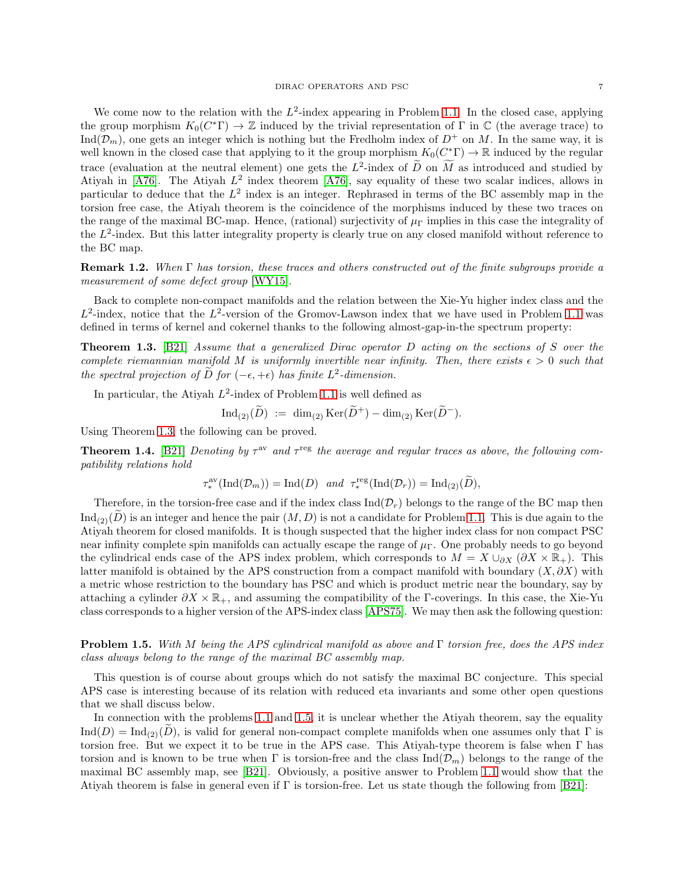We come now to the relation with the  $L^2$ -index appearing in Problem [1.1.](#page-4-1) In the closed case, applying the group morphism  $K_0(C^*\Gamma) \to \mathbb{Z}$  induced by the trivial representation of  $\Gamma$  in  $\mathbb{C}$  (the average trace) to  $\text{Ind}(\mathcal{D}_m)$ , one gets an integer which is nothing but the Fredholm index of  $D^+$  on M. In the same way, it is well known in the closed case that applying to it the group morphism  $K_0(C^*_{\leq}) \to \mathbb{R}$  induced by the regular trace (evaluation at the neutral element) one gets the  $L^2$ -index of D on M as introduced and studied by Atiyah in [\[A76\]](#page-21-13). The Atiyah  $L^2$  index theorem [A76], say equality of these two scalar indices, allows in particular to deduce that the  $L^2$  index is an integer. Rephrased in terms of the BC assembly map in the torsion free case, the Atiyah theorem is the coincidence of the morphisms induced by these two traces on the range of the maximal BC-map. Hence, (rational) surjectivity of  $\mu_{\Gamma}$  implies in this case the integrality of the  $L^2$ -index. But this latter integrality property is clearly true on any closed manifold without reference to the BC map.

**Remark 1.2.** When  $\Gamma$  has torsion, these traces and others constructed out of the finite subgroups provide a measurement of some defect group [\[WY15\]](#page-23-9).

Back to complete non-compact manifolds and the relation between the Xie-Yu higher index class and the  $L^2$ -index, notice that the  $L^2$ -version of the Gromov-Lawson index that we have used in Problem [1.1](#page-4-1) was defined in terms of kernel and cokernel thanks to the following almost-gap-in-the spectrum property:

<span id="page-6-0"></span>Theorem 1.3. [\[B21\]](#page-21-4) Assume that a generalized Dirac operator D acting on the sections of S over the complete riemannian manifold M is uniformly invertible near infinity. Then, there exists  $\epsilon > 0$  such that the spectral projection of  $\overline{D}$  for  $(-\epsilon, +\epsilon)$  has finite  $L^2$ -dimension.

In particular, the Atiyah  $L^2$ -index of Problem [1.1](#page-4-1) is well defined as

$$
\operatorname{Ind}_{(2)}(\widetilde{D}) \; := \; \dim_{(2)} \operatorname{Ker}(\widetilde{D}^+) - \dim_{(2)} \operatorname{Ker}(\widetilde{D}^-).
$$

Using Theorem [1.3,](#page-6-0) the following can be proved.

**Theorem 1.4.** [\[B21\]](#page-21-4) Denoting by  $\tau^{\text{av}}$  and  $\tau^{\text{reg}}$  the average and regular traces as above, the following compatibility relations hold

$$
\tau_*^{\text{av}}(\text{Ind}(\mathcal{D}_m)) = \text{Ind}(D) \quad \text{and} \quad \tau_*^{\text{reg}}(\text{Ind}(\mathcal{D}_r)) = \text{Ind}_{(2)}(\widetilde{D}),
$$

Therefore, in the torsion-free case and if the index class  $\text{Ind}(\mathcal{D}_r)$  belongs to the range of the BC map then  $\text{Ind}_{(2)}(D)$  is an integer and hence the pair  $(M, D)$  is not a candidate for Problem [1.1.](#page-4-1) This is due again to the Atiyah theorem for closed manifolds. It is though suspected that the higher index class for non compact PSC near infinity complete spin manifolds can actually escape the range of  $\mu_{\Gamma}$ . One probably needs to go beyond the cylindrical ends case of the APS index problem, which corresponds to  $M = X \cup_{\partial X} (\partial X \times \mathbb{R}_+)$ . This latter manifold is obtained by the APS construction from a compact manifold with boundary  $(X, \partial X)$  with a metric whose restriction to the boundary has PSC and which is product metric near the boundary, say by attaching a cylinder  $\partial X \times \mathbb{R}_+$ , and assuming the compatibility of the Γ-coverings. In this case, the Xie-Yu class corresponds to a higher version of the APS-index class [\[APS75\]](#page-21-3). We may then ask the following question:

<span id="page-6-1"></span>Problem 1.5. With M being the APS cylindrical manifold as above and Γ torsion free, does the APS index class always belong to the range of the maximal BC assembly map.

This question is of course about groups which do not satisfy the maximal BC conjecture. This special APS case is interesting because of its relation with reduced eta invariants and some other open questions that we shall discuss below.

In connection with the problems [1.1](#page-4-1) and [1.5,](#page-6-1) it is unclear whether the Atiyah theorem, say the equality  $\text{Ind}(D) = \text{Ind}_{(2)}(D)$ , is valid for general non-compact complete manifolds when one assumes only that Γ is torsion free. But we expect it to be true in the APS case. This Atiyah-type theorem is false when Γ has torsion and is known to be true when Γ is torsion-free and the class  $\text{Ind}(\mathcal{D}_m)$  belongs to the range of the maximal BC assembly map, see [\[B21\]](#page-21-4). Obviously, a positive answer to Problem [1.1](#page-4-1) would show that the Atiyah theorem is false in general even if Γ is torsion-free. Let us state though the following from [\[B21\]](#page-21-4):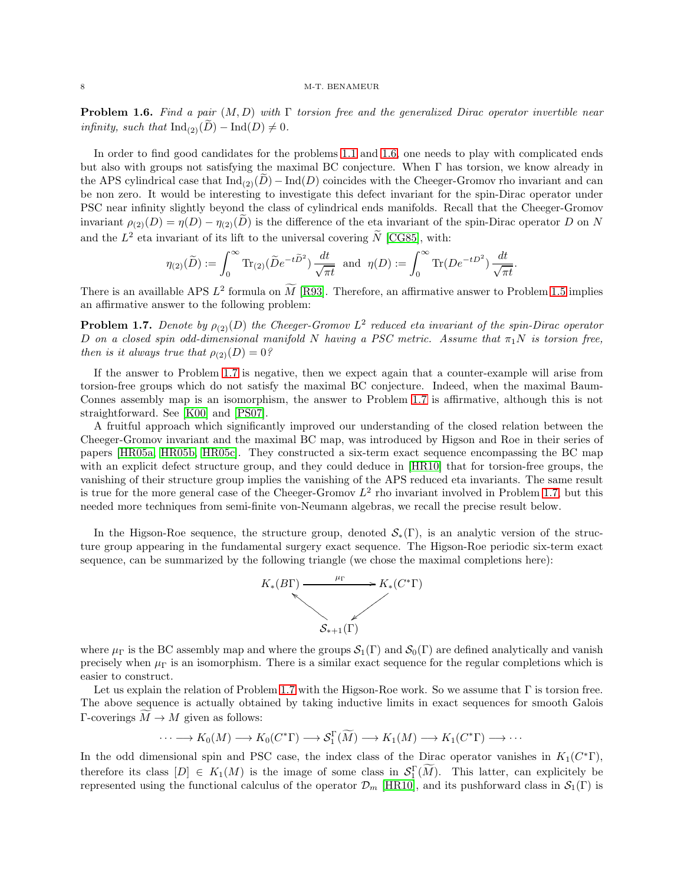<span id="page-7-0"></span>**Problem 1.6.** Find a pair  $(M, D)$  with  $\Gamma$  torsion free and the generalized Dirac operator invertible near infinity, such that  $\text{Ind}_{(2)}(D) - \text{Ind}(D) \neq 0$ .

In order to find good candidates for the problems [1.1](#page-4-1) and [1.6,](#page-7-0) one needs to play with complicated ends but also with groups not satisfying the maximal BC conjecture. When Γ has torsion, we know already in the APS cylindrical case that  $\text{Ind}_{(2)}(D) - \text{Ind}(D)$  coincides with the Cheeger-Gromov rho invariant and can be non zero. It would be interesting to investigate this defect invariant for the spin-Dirac operator under PSC near infinity slightly beyond the class of cylindrical ends manifolds. Recall that the Cheeger-Gromov invariant  $\rho_{(2)}(D) = \eta(D) - \eta_{(2)}(\tilde{D})$  is the difference of the eta invariant of the spin-Dirac operator D on N and the  $L^2$  eta invariant of its lift to the universal covering  $\tilde{N}$  [\[CG85\]](#page-22-7), with:

$$
\eta_{(2)}(\widetilde{D}) := \int_0^\infty \text{Tr}_{(2)}(\widetilde{D}e^{-t\widetilde{D}^2}) \frac{dt}{\sqrt{\pi t}} \text{ and } \eta(D) := \int_0^\infty \text{Tr}(De^{-tD^2}) \frac{dt}{\sqrt{\pi t}}.
$$

There is an availlable APS  $L^2$  formula on M [\[R93\]](#page-23-10). Therefore, an affirmative answer to Problem [1.5](#page-6-1) implies an affirmative answer to the following problem:

<span id="page-7-1"></span>**Problem 1.7.** Denote by  $\rho_{(2)}(D)$  the Cheeger-Gromov  $L^2$  reduced eta invariant of the spin-Dirac operator D on a closed spin odd-dimensional manifold N having a PSC metric. Assume that  $\pi_1 N$  is torsion free, then is it always true that  $\rho_{(2)}(D) = 0$ ?

If the answer to Problem [1.7](#page-7-1) is negative, then we expect again that a counter-example will arise from torsion-free groups which do not satisfy the maximal BC conjecture. Indeed, when the maximal Baum-Connes assembly map is an isomorphism, the answer to Problem [1.7](#page-7-1) is affirmative, although this is not straightforward. See [\[K00\]](#page-22-8) and [\[PS07\]](#page-23-4).

A fruitful approach which significantly improved our understanding of the closed relation between the Cheeger-Gromov invariant and the maximal BC map, was introduced by Higson and Roe in their series of papers [\[HR05a,](#page-22-18) [HR05b,](#page-22-19) [HR05c\]](#page-22-20). They constructed a six-term exact sequence encompassing the BC map with an explicit defect structure group, and they could deduce in  $[HR10]$  that for torsion-free groups, the vanishing of their structure group implies the vanishing of the APS reduced eta invariants. The same result is true for the more general case of the Cheeger-Gromov  $L^2$  rho invariant involved in Problem [1.7,](#page-7-1) but this needed more techniques from semi-finite von-Neumann algebras, we recall the precise result below.

In the Higson-Roe sequence, the structure group, denoted  $\mathcal{S}_*(\Gamma)$ , is an analytic version of the structure group appearing in the fundamental surgery exact sequence. The Higson-Roe periodic six-term exact sequence, can be summarized by the following triangle (we chose the maximal completions here):



where  $\mu_{\Gamma}$  is the BC assembly map and where the groups  $\mathcal{S}_1(\Gamma)$  and  $\mathcal{S}_0(\Gamma)$  are defined analytically and vanish precisely when  $\mu_{\Gamma}$  is an isomorphism. There is a similar exact sequence for the regular completions which is easier to construct.

Let us explain the relation of Problem [1.7](#page-7-1) with the Higson-Roe work. So we assume that  $\Gamma$  is torsion free. The above sequence is actually obtained by taking inductive limits in exact sequences for smooth Galois  $\Gamma$ -coverings  $M \to M$  given as follows:

$$
\cdots \longrightarrow K_0(M) \longrightarrow K_0(C^*\Gamma) \longrightarrow \mathcal{S}_1^{\Gamma}(\widetilde{M}) \longrightarrow K_1(M) \longrightarrow K_1(C^*\Gamma) \longrightarrow \cdots
$$

In the odd dimensional spin and PSC case, the index class of the Dirac operator vanishes in  $K_1(C^*\Gamma)$ , therefore its class  $[D] \in K_1(M)$  is the image of some class in  $\mathcal{S}_1^{\Gamma}(M)$ . This latter, can explicitely be represented using the functional calculus of the operator  $\mathcal{D}_m$  [\[HR10\]](#page-22-21), and its pushforward class in  $\mathcal{S}_1(\Gamma)$  is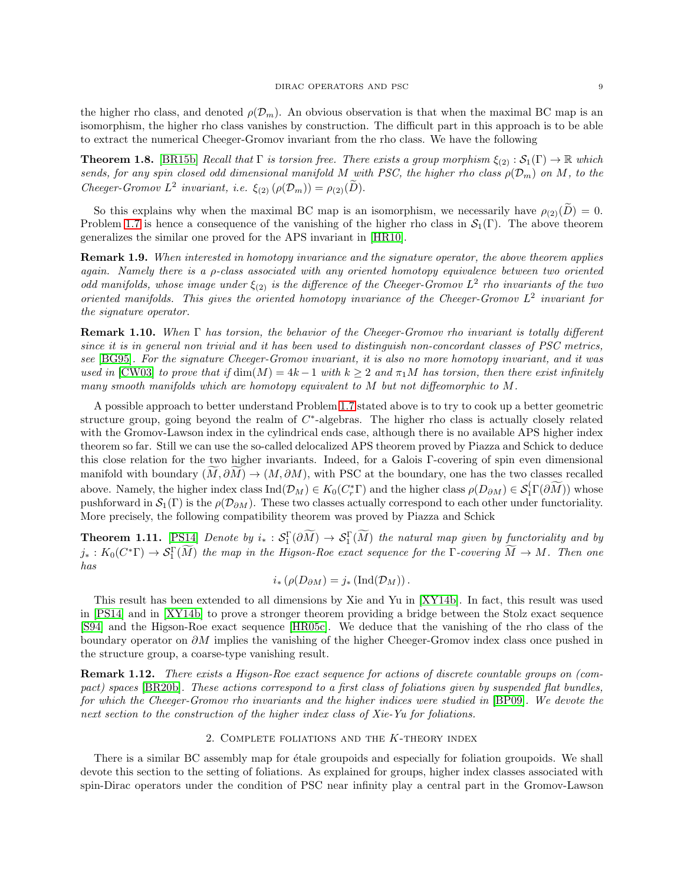the higher rho class, and denoted  $\rho(\mathcal{D}_m)$ . An obvious observation is that when the maximal BC map is an isomorphism, the higher rho class vanishes by construction. The difficult part in this approach is to be able to extract the numerical Cheeger-Gromov invariant from the rho class. We have the following

**Theorem 1.8.** [\[BR15b\]](#page-21-6) Recall that  $\Gamma$  is torsion free. There exists a group morphism  $\xi_{(2)} : S_1(\Gamma) \to \mathbb{R}$  which sends, for any spin closed odd dimensional manifold M with PSC, the higher rho class  $\rho(\mathcal{D}_m)$  on M, to the Cheeger-Gromov  $L^2$  invariant, i.e.  $\xi_{(2)}(\rho(\mathcal{D}_m)) = \rho_{(2)}(\tilde{D})$ .

So this explains why when the maximal BC map is an isomorphism, we necessarily have  $\rho_{(2)}(\tilde{D}) = 0$ . Problem [1.7](#page-7-1) is hence a consequence of the vanishing of the higher rho class in  $\mathcal{S}_1(\Gamma)$ . The above theorem generalizes the similar one proved for the APS invariant in [\[HR10\]](#page-22-21).

**Remark 1.9.** When interested in homotopy invariance and the signature operator, the above theorem applies again. Namely there is a  $\rho$ -class associated with any oriented homotopy equivalence between two oriented odd manifolds, whose image under  $\xi_{(2)}$  is the difference of the Cheeger-Gromov  $L^2$  rho invariants of the two oriented manifolds. This gives the oriented homotopy invariance of the Cheeger-Gromov  $L^2$  invariant for the signature operator.

**Remark 1.10.** When  $\Gamma$  has torsion, the behavior of the Cheeger-Gromov rho invariant is totally different since it is in general non trivial and it has been used to distinguish non-concordant classes of PSC metrics, see [\[BG95\]](#page-22-22). For the signature Cheeger-Gromov invariant, it is also no more homotopy invariant, and it was used in [\[CW03\]](#page-22-23) to prove that if  $\dim(M) = 4k - 1$  with  $k \geq 2$  and  $\pi_1 M$  has torsion, then there exist infinitely many smooth manifolds which are homotopy equivalent to M but not diffeomorphic to M.

A possible approach to better understand Problem [1.7](#page-7-1) stated above is to try to cook up a better geometric structure group, going beyond the realm of  $C^*$ -algebras. The higher rho class is actually closely related with the Gromov-Lawson index in the cylindrical ends case, although there is no available APS higher index theorem so far. Still we can use the so-called delocalized APS theorem proved by Piazza and Schick to deduce this close relation for the two higher invariants. Indeed, for a Galois Γ-covering of spin even dimensional manifold with boundary  $(M, \partial M) \to (M, \partial M)$ , with PSC at the boundary, one has the two classes recalled above. Namely, the higher index class  $\text{Ind}(\mathcal{D}_M) \in K_0(C_r^*\Gamma)$  and the higher class  $\rho(D_{\partial M}) \in \mathcal{S}_1(\Gamma(\partial \widetilde{M}))$  whose pushforward in  $\mathcal{S}_1(\Gamma)$  is the  $\rho(\mathcal{D}_{\partial M})$ . These two classes actually correspond to each other under functoriality. More precisely, the following compatibility theorem was proved by Piazza and Schick

**Theorem 1.11.** [\[PS14\]](#page-23-11) Denote by  $i_* : \mathcal{S}_1^{\Gamma}(\partial M) \to \mathcal{S}_1^{\Gamma}(M)$  the natural map given by functoriality and by  $j_*: K_0(C^*\Gamma) \to \mathcal{S}_1^{\Gamma}(M)$  the map in the Higson-Roe exact sequence for the  $\Gamma$ -covering  $M \to M$ . Then one has

$$
i_*\left(\rho(D_{\partial M})=j_*\left(\mathrm{Ind}(\mathcal{D}_M)\right).
$$

This result has been extended to all dimensions by Xie and Yu in [\[XY14b\]](#page-23-12). In fact, this result was used in [\[PS14\]](#page-23-11) and in [\[XY14b\]](#page-23-12) to prove a stronger theorem providing a bridge between the Stolz exact sequence [\[S94\]](#page-23-13) and the Higson-Roe exact sequence [\[HR05c\]](#page-22-20). We deduce that the vanishing of the rho class of the boundary operator on ∂M implies the vanishing of the higher Cheeger-Gromov index class once pushed in the structure group, a coarse-type vanishing result.

Remark 1.12. There exists a Higson-Roe exact sequence for actions of discrete countable groups on (compact) spaces [\[BR20b\]](#page-21-15). These actions correspond to a first class of foliations given by suspended flat bundles, for which the Cheeger-Gromov rho invariants and the higher indices were studied in [\[BP09\]](#page-21-8). We devote the next section to the construction of the higher index class of Xie-Yu for foliations.

## 2. COMPLETE FOLIATIONS AND THE  $K$ -THEORY INDEX

<span id="page-8-0"></span>There is a similar BC assembly map for étale groupoids and especially for foliation groupoids. We shall devote this section to the setting of foliations. As explained for groups, higher index classes associated with spin-Dirac operators under the condition of PSC near infinity play a central part in the Gromov-Lawson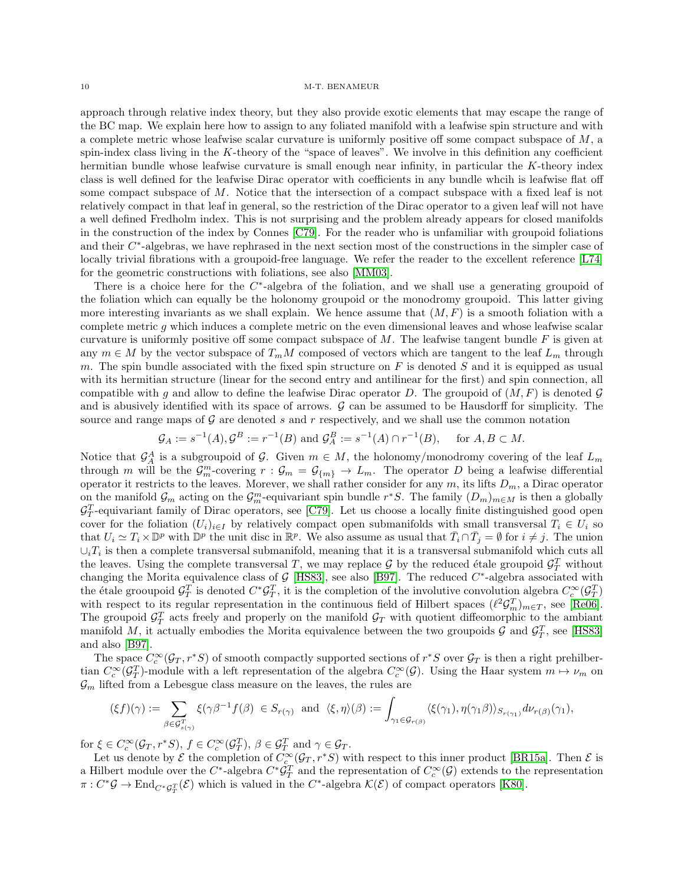approach through relative index theory, but they also provide exotic elements that may escape the range of the BC map. We explain here how to assign to any foliated manifold with a leafwise spin structure and with a complete metric whose leafwise scalar curvature is uniformly positive off some compact subspace of  $M$ , a spin-index class living in the K-theory of the "space of leaves". We involve in this definition any coefficient hermitian bundle whose leafwise curvature is small enough near infinity, in particular the K-theory index class is well defined for the leafwise Dirac operator with coefficients in any bundle whcih is leafwise flat off some compact subspace of M. Notice that the intersection of a compact subspace with a fixed leaf is not relatively compact in that leaf in general, so the restriction of the Dirac operator to a given leaf will not have a well defined Fredholm index. This is not surprising and the problem already appears for closed manifolds in the construction of the index by Connes [\[C79\]](#page-22-15). For the reader who is unfamiliar with groupoid foliations and their  $C^*$ -algebras, we have rephrased in the next section most of the constructions in the simpler case of locally trivial fibrations with a groupoid-free language. We refer the reader to the excellent reference [\[L74\]](#page-22-24) for the geometric constructions with foliations, see also [\[MM03\]](#page-23-14).

There is a choice here for the  $C^*$ -algebra of the foliation, and we shall use a generating groupoid of the foliation which can equally be the holonomy groupoid or the monodromy groupoid. This latter giving more interesting invariants as we shall explain. We hence assume that  $(M, F)$  is a smooth foliation with a complete metric  $g$  which induces a complete metric on the even dimensional leaves and whose leafwise scalar curvature is uniformly positive off some compact subspace of  $M$ . The leafwise tangent bundle  $F$  is given at any  $m \in M$  by the vector subspace of  $T_m M$  composed of vectors which are tangent to the leaf  $L_m$  through m. The spin bundle associated with the fixed spin structure on  $F$  is denoted  $S$  and it is equipped as usual with its hermitian structure (linear for the second entry and antilinear for the first) and spin connection, all compatible with g and allow to define the leafwise Dirac operator D. The groupoid of  $(M, F)$  is denoted G and is abusively identified with its space of arrows.  $\mathcal G$  can be assumed to be Hausdorff for simplicity. The source and range maps of  $G$  are denoted s and r respectively, and we shall use the common notation

$$
\mathcal{G}_A := s^{-1}(A), \mathcal{G}^B := r^{-1}(B) \text{ and } \mathcal{G}^B_A := s^{-1}(A) \cap r^{-1}(B), \quad \text{ for } A, B \subset M.
$$

Notice that  $\mathcal{G}_A^A$  is a subgroupoid of  $\mathcal{G}$ . Given  $m \in M$ , the holonomy/monodromy covering of the leaf  $L_m$ through m will be the  $\mathcal{G}_m^m$ -covering  $r : \mathcal{G}_m = \mathcal{G}_{\{m\}} \to L_m$ . The operator D being a leafwise differential operator it restricts to the leaves. Morever, we shall rather consider for any  $m$ , its lifts  $D_m$ , a Dirac operator on the manifold  $\mathcal{G}_m$  acting on the  $\mathcal{G}_m^m$ -equivariant spin bundle  $r^*S$ . The family  $(D_m)_{m\in M}$  is then a globally  $\mathcal{G}_T^T$ -equivariant family of Dirac operators, see [\[C79\]](#page-22-15). Let us choose a locally finite distinguished good open cover for the foliation  $(U_i)_{i\in I}$  by relatively compact open submanifolds with small transversal  $T_i \in U_i$  so that  $U_i \simeq T_i \times \mathbb{D}^p$  with  $\mathbb{D}^p$  the unit disc in  $\mathbb{R}^p$ . We also assume as usual that  $\overline{T}_i \cap \overline{T}_j = \emptyset$  for  $i \neq j$ . The union  $\cup_i T_i$  is then a complete transversal submanifold, meaning that it is a transversal submanifold which cuts all the leaves. Using the complete transversal T, we may replace  $\mathcal G$  by the reduced étale groupoid  $\mathcal G_T^T$  without changing the Morita equivalence class of G [\[HS83\]](#page-22-25), see also [\[B97\]](#page-21-16). The reduced  $C^*$ -algebra associated with the étale grooupoid  $\mathcal{G}_T^T$  is denoted  $C^* \mathcal{G}_T^T$ , it is the completion of the involutive convolution algebra  $C_c^{\infty}(\mathcal{G}_T^T)$ with respect to its regular representation in the continuous field of Hilbert spaces  $(\ell^2 G_m^T)_{m \in T}$ , see [\[Re06\]](#page-23-15). The groupoid  $\mathcal{G}_T^T$  acts freely and properly on the manifold  $\mathcal{G}_T$  with quotient diffeomorphic to the ambiant manifold M, it actually embodies the Morita equivalence between the two groupoids G and  $\mathcal{G}_T^T$ , see [\[HS83\]](#page-22-25) and also [\[B97\]](#page-21-16).

The space  $C_c^{\infty}(\mathcal{G}_T, r^*S)$  of smooth compactly supported sections of  $r^*S$  over  $\mathcal{G}_T$  is then a right prehilbertian  $C_c^{\infty}(\mathcal{G}_T^T)$ -module with a left representation of the algebra  $C_c^{\infty}(\mathcal{G})$ . Using the Haar system  $m \mapsto \nu_m$  on  $\mathcal{G}_m$  lifted from a Lebesgue class measure on the leaves, the rules are

$$
(\xi f)(\gamma) := \sum_{\beta \in \mathcal{G}_{s(\gamma)}^T} \xi(\gamma \beta^{-1} f(\beta) \in S_{r(\gamma)} \text{ and } \langle \xi, \eta \rangle (\beta) := \int_{\gamma_1 \in \mathcal{G}_{r(\beta)}} \langle \xi(\gamma_1), \eta(\gamma_1 \beta) \rangle_{S_{r(\gamma_1)}} d\nu_{r(\beta)}(\gamma_1),
$$

for  $\xi \in C_c^{\infty}(\mathcal{G}_T, r^*S), f \in C_c^{\infty}(\mathcal{G}_T^T), \beta \in \mathcal{G}_T^T$  and  $\gamma \in \mathcal{G}_T$ .

Let us denote by  $\mathcal E$  the completion of  $C_c^{\infty}(\mathcal G_T, r^*S)$  with respect to this inner product [\[BR15a\]](#page-21-17). Then  $\mathcal E$  is a Hilbert module over the  $C^*$ -algebra  $C^*\mathcal{G}_T^T$  and the representation of  $C_c^\infty(\mathcal{G})$  extends to the representation  $\pi: C^*\mathcal{G} \to \text{End}_{C^*\mathcal{G}_T^T}(\mathcal{E})$  which is valued in the  $C^*$ -algebra  $\mathcal{K}(\mathcal{E})$  of compact operators [\[K80\]](#page-22-26).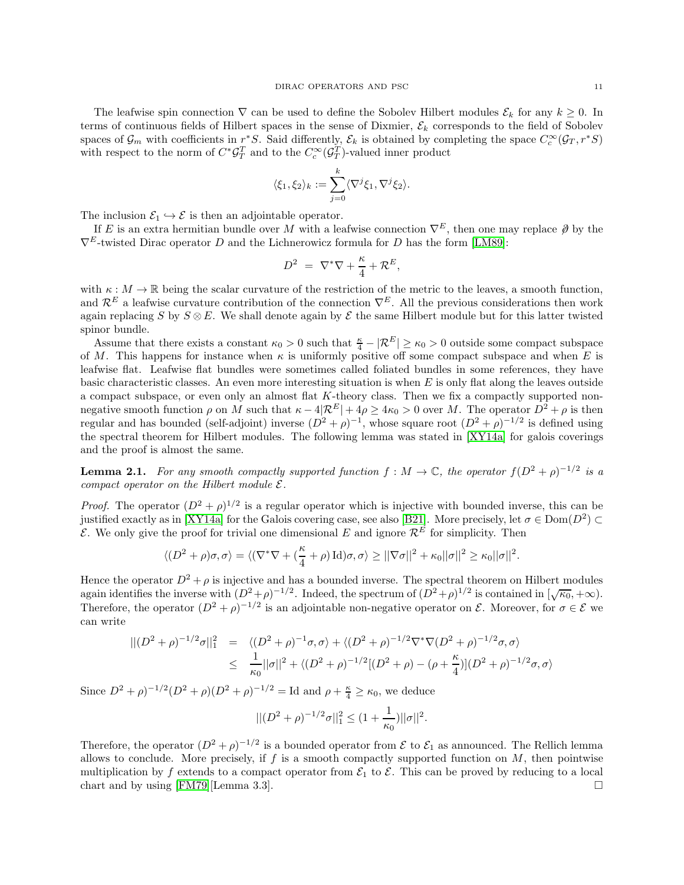The leafwise spin connection  $\nabla$  can be used to define the Sobolev Hilbert modules  $\mathcal{E}_k$  for any  $k \geq 0$ . In terms of continuous fields of Hilbert spaces in the sense of Dixmier,  $\mathcal{E}_k$  corresponds to the field of Sobolev spaces of  $\mathcal{G}_m$  with coefficients in  $r^*S$ . Said differently,  $\mathcal{E}_k$  is obtained by completing the space  $C_c^{\infty}(\mathcal{G}_T, r^*S)$ with respect to the norm of  $C^*{\cal G}^T_T$  and to the  $C_c^{\infty}({\cal G}^T_T)$ -valued inner product

$$
\langle \xi_1, \xi_2 \rangle_k := \sum_{j=0}^k \langle \nabla^j \xi_1, \nabla^j \xi_2 \rangle.
$$

The inclusion  $\mathcal{E}_1 \hookrightarrow \mathcal{E}$  is then an adjointable operator.

If E is an extra hermitian bundle over M with a leafwise connection  $\nabla^E$ , then one may replace  $\partial$  by the  $\nabla^E$ -twisted Dirac operator D and the Lichnerowicz formula for D has the form [\[LM89\]](#page-22-27):

$$
D^2 = \nabla^* \nabla + \frac{\kappa}{4} + \mathcal{R}^E,
$$

with  $\kappa : M \to \mathbb{R}$  being the scalar curvature of the restriction of the metric to the leaves, a smooth function, and  $\mathcal{R}^E$  a leafwise curvature contribution of the connection  $\nabla^E$ . All the previous considerations then work again replacing S by  $S \otimes E$ . We shall denote again by  $\mathcal E$  the same Hilbert module but for this latter twisted spinor bundle.

Assume that there exists a constant  $\kappa_0 > 0$  such that  $\frac{\kappa}{4} - |\mathcal{R}^E| \ge \kappa_0 > 0$  outside some compact subspace of M. This happens for instance when  $\kappa$  is uniformly positive off some compact subspace and when E is leafwise flat. Leafwise flat bundles were sometimes called foliated bundles in some references, they have basic characteristic classes. An even more interesting situation is when  $E$  is only flat along the leaves outside a compact subspace, or even only an almost flat K-theory class. Then we fix a compactly supported nonnegative smooth function  $\rho$  on M such that  $\kappa - 4|\mathcal{R}^E| + 4\rho \ge 4\kappa_0 > 0$  over M. The operator  $D^2 + \rho$  is then regular and has bounded (self-adjoint) inverse  $(D^2 + \rho)^{-1}$ , whose square root  $(D^2 + \rho)^{-1/2}$  is defined using the spectral theorem for Hilbert modules. The following lemma was stated in [\[XY14a\]](#page-23-5) for galois coverings and the proof is almost the same.

**Lemma 2.1.** For any smooth compactly supported function  $f : M \to \mathbb{C}$ , the operator  $f(D^2 + \rho)^{-1/2}$  is a compact operator on the Hilbert module  $\mathcal{E}.$ 

*Proof.* The operator  $(D^2 + \rho)^{1/2}$  is a regular operator which is injective with bounded inverse, this can be justified exactly as in [\[XY14a\]](#page-23-5) for the Galois covering case, see also [\[B21\]](#page-21-4). More precisely, let  $\sigma \in \text{Dom}(D^2) \subset \mathbb{R}$ E. We only give the proof for trivial one dimensional E and ignore  $\mathcal{R}^{\vec{E}}$  for simplicity. Then

$$
\langle (D^2 + \rho)\sigma, \sigma \rangle = \langle (\nabla^* \nabla + (\frac{\kappa}{4} + \rho) \operatorname{Id})\sigma, \sigma \rangle \ge ||\nabla \sigma||^2 + \kappa_0 ||\sigma||^2 \ge \kappa_0 ||\sigma||^2.
$$

Hence the operator  $D^2 + \rho$  is injective and has a bounded inverse. The spectral theorem on Hilbert modules again identifies the inverse with  $(D^2 + \rho)^{-1/2}$ . Indeed, the spectrum of  $(D^2 + \rho)^{1/2}$  is contained in  $[\sqrt{\kappa_0}, +\infty)$ . Therefore, the operator  $(D^2 + \rho)^{-1/2}$  is an adjointable non-negative operator on  $\mathcal{E}$ . Moreover, for  $\sigma \in \mathcal{E}$  we can write

$$
\begin{aligned} || (D^2 + \rho)^{-1/2} \sigma ||_1^2 &= \langle (D^2 + \rho)^{-1} \sigma, \sigma \rangle + \langle (D^2 + \rho)^{-1/2} \nabla^* \nabla (D^2 + \rho)^{-1/2} \sigma, \sigma \rangle \\ &\leq \frac{1}{\kappa_0} || \sigma ||^2 + \langle (D^2 + \rho)^{-1/2} [(D^2 + \rho) - (\rho + \frac{\kappa}{4})] (D^2 + \rho)^{-1/2} \sigma, \sigma \rangle \end{aligned}
$$

Since  $D^2 + \rho$ <sup>-1/2</sup> $(D^2 + \rho)(D^2 + \rho)^{-1/2} =$  Id and  $\rho + \frac{\kappa}{4} \ge \kappa_0$ , we deduce

$$
||(D^2 + \rho)^{-1/2}\sigma||_1^2 \le (1 + \frac{1}{\kappa_0})||\sigma||^2.
$$

Therefore, the operator  $(D^2 + \rho)^{-1/2}$  is a bounded operator from  $\mathcal E$  to  $\mathcal E_1$  as announced. The Rellich lemma allows to conclude. More precisely, if f is a smooth compactly supported function on  $M$ , then pointwise multiplication by f extends to a compact operator from  $\mathcal{E}_1$  to  $\mathcal{E}$ . This can be proved by reducing to a local chart and by using [FM79][Lemma 3.3]. chart and by using [\[FM79\]](#page-22-11)[Lemma 3.3].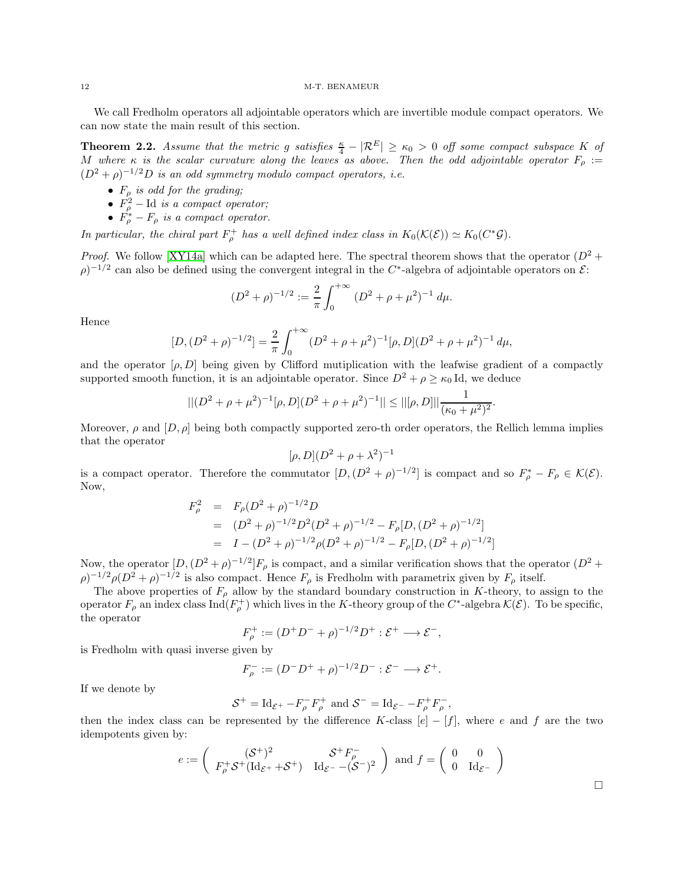We call Fredholm operators all adjointable operators which are invertible module compact operators. We can now state the main result of this section.

**Theorem 2.2.** Assume that the metric g satisfies  $\frac{\kappa}{4} - |\mathcal{R}^E| \ge \kappa_0 > 0$  off some compact subspace K of M where  $\kappa$  is the scalar curvature along the leaves as above. Then the odd adjointable operator  $F_\rho :=$  $(D^2 + \rho)^{-1/2}D$  is an odd symmetry modulo compact operators, i.e.

- $F_{\rho}$  is odd for the grading;
- $F_{\rho}^2$  Id is a compact operator;
- $F_{\rho}^* F_{\rho}$  is a compact operator.

In particular, the chiral part  $F_{\rho}^+$  has a well defined index class in  $K_0(\mathcal{K}(\mathcal{E})) \simeq K_0(C^*\mathcal{G})$ .

*Proof.* We follow [\[XY14a\]](#page-23-5) which can be adapted here. The spectral theorem shows that the operator  $(D^2 +$  $(\rho)^{-1/2}$  can also be defined using the convergent integral in the C<sup>\*</sup>-algebra of adjointable operators on  $\mathcal{E}$ :

$$
(D^2 + \rho)^{-1/2} := \frac{2}{\pi} \int_0^{+\infty} (D^2 + \rho + \mu^2)^{-1} d\mu.
$$

Hence

$$
[D,(D^{2} + \rho)^{-1/2}] = \frac{2}{\pi} \int_{0}^{+\infty} (D^{2} + \rho + \mu^{2})^{-1} [\rho,D](D^{2} + \rho + \mu^{2})^{-1} d\mu,
$$

and the operator  $[\rho, D]$  being given by Clifford mutiplication with the leafwise gradient of a compactly supported smooth function, it is an adjointable operator. Since  $D^2 + \rho \ge \kappa_0 \text{Id}$ , we deduce

$$
||(D^{2} + \rho + \mu^{2})^{-1}[\rho, D](D^{2} + \rho + \mu^{2})^{-1}|| \leq ||[\rho, D]|| \frac{1}{(\kappa_{0} + \mu^{2})^{2}}.
$$

Moreover,  $\rho$  and  $[D, \rho]$  being both compactly supported zero-th order operators, the Rellich lemma implies that the operator

$$
[\rho, D](D^2 + \rho + \lambda^2)^{-1}
$$

is a compact operator. Therefore the commutator  $[D,(D^2+\rho)^{-1/2}]$  is compact and so  $F_\rho^* - F_\rho \in \mathcal{K}(\mathcal{E})$ . Now,

$$
F_{\rho}^{2} = F_{\rho}(D^{2} + \rho)^{-1/2}D
$$
  
=  $(D^{2} + \rho)^{-1/2}D^{2}(D^{2} + \rho)^{-1/2} - F_{\rho}[D,(D^{2} + \rho)^{-1/2}]$   
=  $I - (D^{2} + \rho)^{-1/2}\rho(D^{2} + \rho)^{-1/2} - F_{\rho}[D,(D^{2} + \rho)^{-1/2}]$ 

Now, the operator  $[D,(D^2+\rho)^{-1/2}]F_\rho$  is compact, and a similar verification shows that the operator  $(D^2+\rho)^{-1/2}F_\rho$  $(\rho)^{-1/2} \rho (D^2 + \rho)^{-1/2}$  is also compact. Hence  $F_\rho$  is Fredholm with parametrix given by  $F_\rho$  itself.

The above properties of  $F_{\rho}$  allow by the standard boundary construction in K-theory, to assign to the operator  $F_{\rho}$  an index class  $\text{Ind}(F_{\rho}^+)$  which lives in the K-theory group of the  $C^*$ -algebra  $\mathcal{K}(\mathcal{E})$ . To be specific, the operator

$$
F_{\rho}^+ := (D^+D^- + \rho)^{-1/2}D^+ : \mathcal{E}^+ \longrightarrow \mathcal{E}^-,
$$

is Fredholm with quasi inverse given by

$$
F_{\rho}^-:=(D^-D^++\rho)^{-1/2}D^-:\mathcal{E}^-\longrightarrow\mathcal{E}^+.
$$

If we denote by

$$
\mathcal{S}^+ = \mathrm{Id}_{\mathcal{E}^+} - F_{\rho}^- F_{\rho}^+ \text{ and } \mathcal{S}^- = \mathrm{Id}_{\mathcal{E}^-} - F_{\rho}^+ F_{\rho}^-,
$$

then the index class can be represented by the difference K-class  $[e] - [f]$ , where e and f are the two idempotents given by:

$$
e := \begin{pmatrix} (\mathcal{S}^+)^2 & \mathcal{S}^+ F_{\rho}^- \\ F_{\rho}^+ \mathcal{S}^+ (\mathrm{Id}_{\mathcal{E}^+} + \mathcal{S}^+) & \mathrm{Id}_{\mathcal{E}^-} - (\mathcal{S}^-)^2 \end{pmatrix} \text{ and } f = \begin{pmatrix} 0 & 0 \\ 0 & \mathrm{Id}_{\mathcal{E}^-} \end{pmatrix}
$$

 $\Box$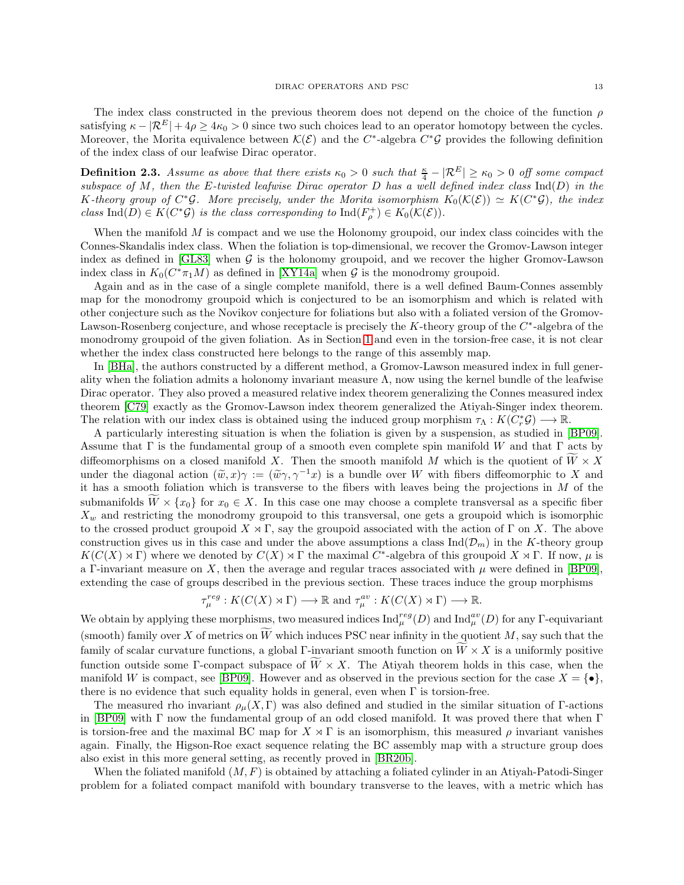**Definition 2.3.** Assume as above that there exists  $\kappa_0 > 0$  such that  $\frac{\kappa}{4} - |\mathcal{R}^E| \ge \kappa_0 > 0$  off some compact subspace of M, then the E-twisted leafwise Dirac operator D has a well defined index class  $\text{Ind}(D)$  in the K-theory group of  $C^*\mathcal{G}$ . More precisely, under the Morita isomorphism  $K_0(\mathcal{K}(\mathcal{E})) \simeq K(C^*\mathcal{G})$ , the index class Ind(D)  $\in K(C^*\mathcal{G})$  is the class corresponding to  $\text{Ind}(F_\rho^+) \in K_0(\mathcal{K}(\mathcal{E}))$ .

When the manifold  $M$  is compact and we use the Holonomy groupoid, our index class coincides with the Connes-Skandalis index class. When the foliation is top-dimensional, we recover the Gromov-Lawson integer index as defined in [\[GL83\]](#page-22-5) when  $G$  is the holonomy groupoid, and we recover the higher Gromov-Lawson index class in  $K_0(C^*\pi_1 M)$  as defined in [\[XY14a\]](#page-23-5) when  $\mathcal G$  is the monodromy groupoid.

Again and as in the case of a single complete manifold, there is a well defined Baum-Connes assembly map for the monodromy groupoid which is conjectured to be an isomorphism and which is related with other conjecture such as the Novikov conjecture for foliations but also with a foliated version of the Gromov-Lawson-Rosenberg conjecture, and whose receptacle is precisely the  $K$ -theory group of the  $C^*$ -algebra of the monodromy groupoid of the given foliation. As in Section [1](#page-4-0) and even in the torsion-free case, it is not clear whether the index class constructed here belongs to the range of this assembly map.

In [\[BHa\]](#page-21-7), the authors constructed by a different method, a Gromov-Lawson measured index in full generality when the foliation admits a holonomy invariant measure  $\Lambda$ , now using the kernel bundle of the leafwise Dirac operator. They also proved a measured relative index theorem generalizing the Connes measured index theorem [\[C79\]](#page-22-15) exactly as the Gromov-Lawson index theorem generalized the Atiyah-Singer index theorem. The relation with our index class is obtained using the induced group morphism  $\tau_{\Lambda}: K(C_r^*\mathcal{G}) \longrightarrow \mathbb{R}$ .

A particularly interesting situation is when the foliation is given by a suspension, as studied in [\[BP09\]](#page-21-8). Assume that  $\Gamma$  is the fundamental group of a smooth even complete spin manifold W and that  $\Gamma$  acts by diffeomorphisms on a closed manifold X. Then the smooth manifold M which is the quotient of  $\overline{W} \times X$ under the diagonal action  $(\tilde{w}, x)\gamma := (\tilde{w}\gamma, \gamma^{-1}x)$  is a bundle over W with fibers diffeomorphic to X and it has a smooth foliation which is transverse to the fibers with leaves being the projections in  $M$  of the submanifolds  $W \times \{x_0\}$  for  $x_0 \in X$ . In this case one may choose a complete transversal as a specific fiber  $X_w$  and restricting the monodromy groupoid to this transversal, one gets a groupoid which is isomorphic to the crossed product groupoid  $X \rtimes \Gamma$ , say the groupoid associated with the action of  $\Gamma$  on X. The above construction gives us in this case and under the above assumptions a class  $\text{Ind}(\mathcal{D}_m)$  in the K-theory group  $K(C(X) \rtimes \Gamma)$  where we denoted by  $C(X) \rtimes \Gamma$  the maximal C<sup>\*</sup>-algebra of this groupoid  $X \rtimes \Gamma$ . If now,  $\mu$  is a Γ-invariant measure on X, then the average and regular traces associated with  $\mu$  were defined in [\[BP09\]](#page-21-8), extending the case of groups described in the previous section. These traces induce the group morphisms

$$
\tau_{\mu}^{reg}: K(C(X) \rtimes \Gamma) \longrightarrow \mathbb{R} \text{ and } \tau_{\mu}^{av}: K(C(X) \rtimes \Gamma) \longrightarrow \mathbb{R}.
$$

We obtain by applying these morphisms, two measured indices  $\text{Ind}_{\mu}^{reg}(D)$  and  $\text{Ind}_{\mu}^{av}(D)$  for any  $\Gamma$ -equivariant (smooth) family over X of metrics on  $\widetilde{W}$  which induces PSC near infinity in the quotient M, say such that the family of scalar curvature functions, a global Γ-invariant smooth function on  $\tilde{W} \times X$  is a uniformly positive function outside some Γ-compact subspace of  $\widetilde{W} \times X$ . The Atiyah theorem holds in this case, when the manifold W is compact, see [\[BP09\]](#page-21-8). However and as observed in the previous section for the case  $X = \{ \bullet \}$ , there is no evidence that such equality holds in general, even when  $\Gamma$  is torsion-free.

The measured rho invariant  $\rho_\mu(X,\Gamma)$  was also defined and studied in the similar situation of Γ-actions in [\[BP09\]](#page-21-8) with Γ now the fundamental group of an odd closed manifold. It was proved there that when Γ is torsion-free and the maximal BC map for  $X \rtimes \Gamma$  is an isomorphism, this measured  $\rho$  invariant vanishes again. Finally, the Higson-Roe exact sequence relating the BC assembly map with a structure group does also exist in this more general setting, as recently proved in [\[BR20b\]](#page-21-15).

When the foliated manifold  $(M, F)$  is obtained by attaching a foliated cylinder in an Atiyah-Patodi-Singer problem for a foliated compact manifold with boundary transverse to the leaves, with a metric which has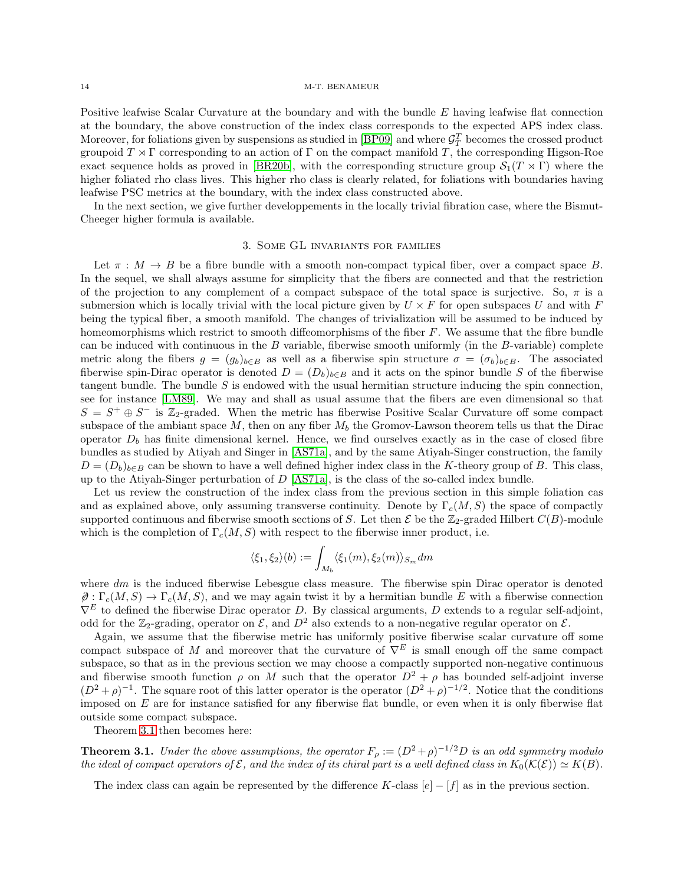Positive leafwise Scalar Curvature at the boundary and with the bundle E having leafwise flat connection at the boundary, the above construction of the index class corresponds to the expected APS index class. Moreover, for foliations given by suspensions as studied in [\[BP09\]](#page-21-8) and where  $\mathcal{G}_T^T$  becomes the crossed product groupoid  $T \rtimes \Gamma$  corresponding to an action of  $\Gamma$  on the compact manifold T, the corresponding Higson-Roe exact sequence holds as proved in [\[BR20b\]](#page-21-15), with the corresponding structure group  $S_1(T \rtimes \Gamma)$  where the higher foliated rho class lives. This higher rho class is clearly related, for foliations with boundaries having leafwise PSC metrics at the boundary, with the index class constructed above.

<span id="page-13-0"></span>In the next section, we give further developpements in the locally trivial fibration case, where the Bismut-Cheeger higher formula is available.

## 3. Some GL invariants for families

Let  $\pi : M \to B$  be a fibre bundle with a smooth non-compact typical fiber, over a compact space B. In the sequel, we shall always assume for simplicity that the fibers are connected and that the restriction of the projection to any complement of a compact subspace of the total space is surjective. So,  $\pi$  is a submersion which is locally trivial with the local picture given by  $U \times F$  for open subspaces U and with F being the typical fiber, a smooth manifold. The changes of trivialization will be assumed to be induced by homeomorphisms which restrict to smooth diffeomorphisms of the fiber  $F$ . We assume that the fibre bundle can be induced with continuous in the  $B$  variable, fiberwise smooth uniformly (in the  $B$ -variable) complete metric along the fibers  $g = (g_b)_{b \in B}$  as well as a fiberwise spin structure  $\sigma = (\sigma_b)_{b \in B}$ . The associated fiberwise spin-Dirac operator is denoted  $D = (D_b)_{b \in B}$  and it acts on the spinor bundle S of the fiberwise tangent bundle. The bundle  $S$  is endowed with the usual hermitian structure inducing the spin connection, see for instance [\[LM89\]](#page-22-27). We may and shall as usual assume that the fibers are even dimensional so that  $S = S^+ \oplus S^-$  is Z<sub>2</sub>-graded. When the metric has fiberwise Positive Scalar Curvature off some compact subspace of the ambiant space  $M$ , then on any fiber  $M_b$  the Gromov-Lawson theorem tells us that the Dirac operator  $D_b$  has finite dimensional kernel. Hence, we find ourselves exactly as in the case of closed fibre bundles as studied by Atiyah and Singer in [\[AS71a\]](#page-21-12), and by the same Atiyah-Singer construction, the family  $D = (D_b)_{b \in B}$  can be shown to have a well defined higher index class in the K-theory group of B. This class, up to the Atiyah-Singer perturbation of  $D$  [\[AS71a\]](#page-21-12), is the class of the so-called index bundle.

Let us review the construction of the index class from the previous section in this simple foliation cas and as explained above, only assuming transverse continuity. Denote by  $\Gamma_c(M, S)$  the space of compactly supported continuous and fiberwise smooth sections of S. Let then  $\mathcal E$  be the  $\mathbb Z_2$ -graded Hilbert  $C(B)$ -module which is the completion of  $\Gamma_c(M, S)$  with respect to the fiberwise inner product, i.e.

$$
\langle \xi_1, \xi_2 \rangle (b) := \int_{M_b} \langle \xi_1(m), \xi_2(m) \rangle_{S_m} dm
$$

where  $dm$  is the induced fiberwise Lebesgue class measure. The fiberwise spin Dirac operator is denoted  $\hat{\theta}: \Gamma_c(M, S) \to \Gamma_c(M, S)$ , and we may again twist it by a hermitian bundle E with a fiberwise connection  $\nabla^E$  to defined the fiberwise Dirac operator D. By classical arguments, D extends to a regular self-adjoint, odd for the  $\mathbb{Z}_2$ -grading, operator on  $\mathcal{E}$ , and  $D^2$  also extends to a non-negative regular operator on  $\mathcal{E}$ .

Again, we assume that the fiberwise metric has uniformly positive fiberwise scalar curvature off some compact subspace of M and moreover that the curvature of  $\nabla^E$  is small enough off the same compact subspace, so that as in the previous section we may choose a compactly supported non-negative continuous and fiberwise smooth function  $\rho$  on M such that the operator  $D^2 + \rho$  has bounded self-adjoint inverse  $(D^2 + \rho)^{-1}$ . The square root of this latter operator is the operator  $(D^2 + \rho)^{-1/2}$ . Notice that the conditions imposed on  $E$  are for instance satisfied for any fiberwise flat bundle, or even when it is only fiberwise flat outside some compact subspace.

Theorem [3.1](#page-13-1) then becomes here:

<span id="page-13-1"></span>**Theorem 3.1.** Under the above assumptions, the operator  $F_{\rho} := (D^2 + \rho)^{-1/2}D$  is an odd symmetry modulo the ideal of compact operators of  $\mathcal E$ , and the index of its chiral part is a well defined class in  $K_0(\mathcal K(\mathcal E))\simeq K(B).$ 

The index class can again be represented by the difference K-class  $[e] - [f]$  as in the previous section.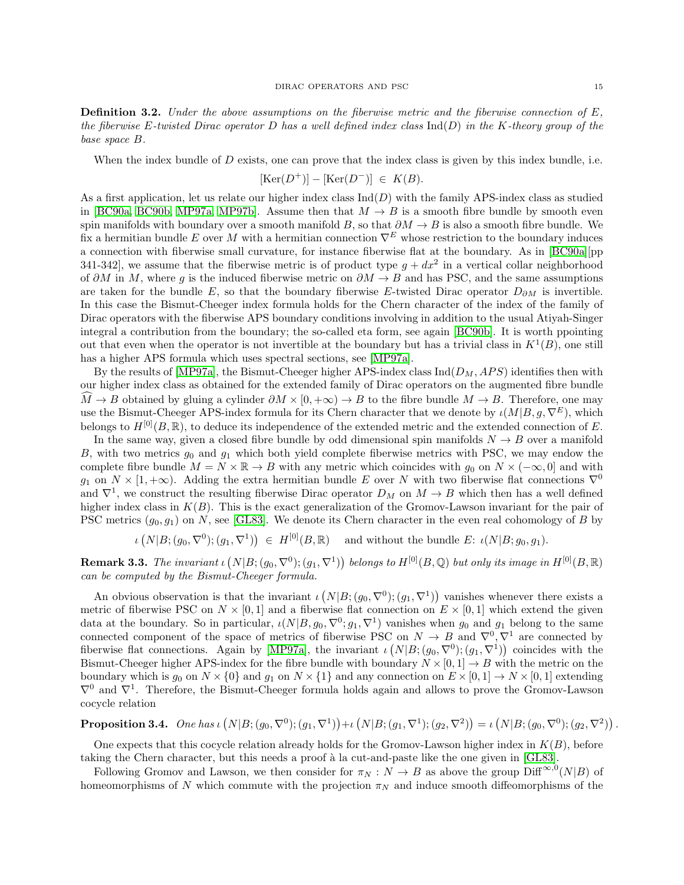**Definition 3.2.** Under the above assumptions on the fiberwise metric and the fiberwise connection of  $E$ , the fiberwise E-twisted Dirac operator D has a well defined index class  $\text{Ind}(D)$  in the K-theory group of the base space B.

When the index bundle of  $D$  exists, one can prove that the index class is given by this index bundle, i.e.

$$
[\text{Ker}(D^+)] - [\text{Ker}(D^-)] \ \in \ K(B).
$$

As a first application, let us relate our higher index class  $\text{Ind}(D)$  with the family APS-index class as studied in [\[BC90a,](#page-21-9) [BC90b,](#page-22-28) [MP97a,](#page-22-10) [MP97b\]](#page-22-29). Assume then that  $M \to B$  is a smooth fibre bundle by smooth even spin manifolds with boundary over a smooth manifold  $B$ , so that  $\partial M \to B$  is also a smooth fibre bundle. We fix a hermitian bundle E over M with a hermitian connection  $\nabla^E$  whose restriction to the boundary induces a connection with fiberwise small curvature, for instance fiberwise flat at the boundary. As in [\[BC90a\]](#page-21-9)[pp 341-342, we assume that the fiberwise metric is of product type  $g + dx^2$  in a vertical collar neighborhood of  $\partial M$  in M, where g is the induced fiberwise metric on  $\partial M \to B$  and has PSC, and the same assumptions are taken for the bundle E, so that the boundary fiberwise E-twisted Dirac operator  $D_{\partial M}$  is invertible. In this case the Bismut-Cheeger index formula holds for the Chern character of the index of the family of Dirac operators with the fiberwise APS boundary conditions involving in addition to the usual Atiyah-Singer integral a contribution from the boundary; the so-called eta form, see again [\[BC90b\]](#page-22-28). It is worth ppointing out that even when the operator is not invertible at the boundary but has a trivial class in  $K^1(B)$ , one still has a higher APS formula which uses spectral sections, see [\[MP97a\]](#page-22-10).

By the results of [\[MP97a\]](#page-22-10), the Bismut-Cheeger higher APS-index class  $\text{Ind}(D_M, APS)$  identifies then with our higher index class as obtained for the extended family of Dirac operators on the augmented fibre bundle  $\hat{M} \to B$  obtained by gluing a cylinder  $\partial M \times [0, +\infty) \to B$  to the fibre bundle  $M \to B$ . Therefore, one may use the Bismut-Cheeger APS-index formula for its Chern character that we denote by  $\iota(M|B, q, \nabla^E)$ , which belongs to  $H^{[0]}(B,\mathbb{R})$ , to deduce its independence of the extended metric and the extended connection of E.

In the same way, given a closed fibre bundle by odd dimensional spin manifolds  $N \to B$  over a manifold B, with two metrics  $g_0$  and  $g_1$  which both yield complete fiberwise metrics with PSC, we may endow the complete fibre bundle  $M = N \times \mathbb{R} \to B$  with any metric which coincides with  $g_0$  on  $N \times (-\infty, 0]$  and with  $g_1$  on  $N \times [1, +\infty)$ . Adding the extra hermitian bundle E over N with two fiberwise flat connections  $\nabla^0$ and  $\nabla^1$ , we construct the resulting fiberwise Dirac operator  $D_M$  on  $M \to B$  which then has a well defined higher index class in  $K(B)$ . This is the exact generalization of the Gromov-Lawson invariant for the pair of PSC metrics  $(g_0, g_1)$  on N, see [\[GL83\]](#page-22-5). We denote its Chern character in the even real cohomology of B by

 $\iota(N|B;(g_0,\nabla^0);(g_1,\nabla^1)) \in H^{[0]}(B,\mathbb{R})$  and without the bundle E:  $\iota(N|B;g_0,g_1)$ .

**Remark 3.3.** The invariant  $\iota(N[B;(g_0,\nabla^0);(g_1,\nabla^1))$  belongs to  $H^{[0]}(B,\mathbb{Q})$  but only its image in  $H^{[0]}(B,\mathbb{R})$ can be computed by the Bismut-Cheeger formula.

An obvious observation is that the invariant  $\iota(N|B;(g_0,\nabla^0);(g_1,\nabla^1))$  vanishes whenever there exists a metric of fiberwise PSC on  $N \times [0,1]$  and a fiberwise flat connection on  $E \times [0,1]$  which extend the given data at the boundary. So in particular,  $\iota(N|B, g_0, \nabla^0; g_1, \nabla^1)$  vanishes when  $g_0$  and  $g_1$  belong to the same connected component of the space of metrics of fiberwise PSC on  $N \to B$  and  $\nabla^0, \nabla^1$  are connected by fiberwise flat connections. Again by [\[MP97a\]](#page-22-10), the invariant  $\iota(N|B; (g_0, \nabla^0); (g_1, \nabla^1))$  coincides with the Bismut-Cheeger higher APS-index for the fibre bundle with boundary  $N \times [0, 1] \rightarrow B$  with the metric on the boundary which is  $g_0$  on  $N \times \{0\}$  and  $g_1$  on  $N \times \{1\}$  and any connection on  $E \times [0, 1] \rightarrow N \times [0, 1]$  extending  $\nabla^0$  and  $\nabla^1$ . Therefore, the Bismut-Cheeger formula holds again and allows to prove the Gromov-Lawson cocycle relation

**Proposition 3.4.** One has  $\iota(N|B; (g_0, \nabla^0); (g_1, \nabla^1)) + \iota(N|B; (g_1, \nabla^1); (g_2, \nabla^2)) = \iota(N|B; (g_0, \nabla^0); (g_2, \nabla^2))$ .

One expects that this cocycle relation already holds for the Gromov-Lawson higher index in  $K(B)$ , before taking the Chern character, but this needs a proof à la cut-and-paste like the one given in [\[GL83\]](#page-22-5).

Following Gromov and Lawson, we then consider for  $\pi_N : N \to B$  as above the group  $\text{Diff}^{\infty,0}(N|B)$  of homeomorphisms of N which commute with the projection  $\pi_N$  and induce smooth diffeomorphisms of the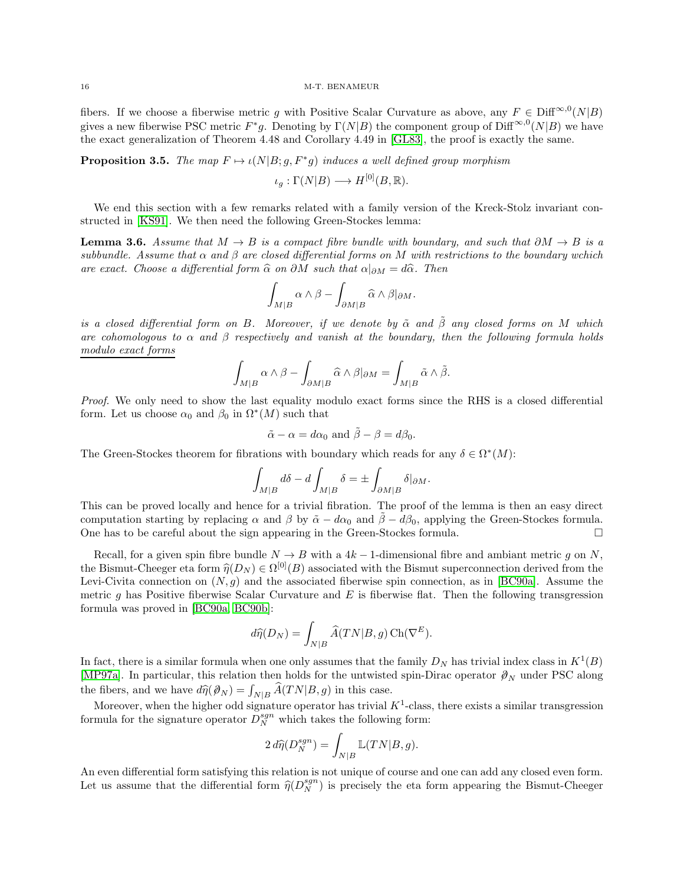fibers. If we choose a fiberwise metric g with Positive Scalar Curvature as above, any  $F \in \text{Diff}^{\infty,0}(N|B)$ gives a new fiberwise PSC metric  $F^*g$ . Denoting by  $\Gamma(N|B)$  the component group of Diff<sup>∞,0</sup>(N|B) we have the exact generalization of Theorem 4.48 and Corollary 4.49 in [\[GL83\]](#page-22-5), the proof is exactly the same.

**Proposition 3.5.** The map  $F \mapsto \iota(N|B; g, F^*g)$  induces a well defined group morphism

 $\iota_q : \Gamma(N|B) \longrightarrow H^{[0]}(B,\mathbb{R}).$ 

We end this section with a few remarks related with a family version of the Kreck-Stolz invariant constructed in [\[KS91\]](#page-22-30). We then need the following Green-Stockes lemma:

<span id="page-15-0"></span>**Lemma 3.6.** Assume that  $M \to B$  is a compact fibre bundle with boundary, and such that  $\partial M \to B$  is a subbundle. Assume that  $\alpha$  and  $\beta$  are closed differential forms on M with restrictions to the boundary wchich are exact. Choose a differential form  $\hat{\alpha}$  on  $\partial M$  such that  $\alpha|_{\partial M} = d\hat{\alpha}$ . Then

$$
\int_{M|B}\alpha\wedge\beta-\int_{\partial M|B}\widehat{\alpha}\wedge\beta|_{\partial M}.
$$

is a closed differential form on B. Moreover, if we denote by  $\tilde{\alpha}$  and  $\tilde{\beta}$  any closed forms on M which are cohomologous to  $\alpha$  and  $\beta$  respectively and vanish at the boundary, then the following formula holds modulo exact forms

$$
\int_{M|B}\alpha\wedge\beta-\int_{\partial M|B}\widehat{\alpha}\wedge\beta|_{\partial M}=\int_{M|B}\widetilde{\alpha}\wedge\widetilde{\beta}.
$$

Proof. We only need to show the last equality modulo exact forms since the RHS is a closed differential form. Let us choose  $\alpha_0$  and  $\beta_0$  in  $\Omega^*(M)$  such that

$$
\tilde{\alpha} - \alpha = d\alpha_0
$$
 and  $\tilde{\beta} - \beta = d\beta_0$ .

The Green-Stockes theorem for fibrations with boundary which reads for any  $\delta \in \Omega^*(M)$ :

$$
\int_{M|B}d\delta - d\int_{M|B}\delta = \pm \int_{\partial M|B}\delta|_{\partial M}.
$$

This can be proved locally and hence for a trivial fibration. The proof of the lemma is then an easy direct computation starting by replacing  $\alpha$  and  $\beta$  by  $\tilde{\alpha} - d\alpha_0$  and  $\beta - d\beta_0$ , applying the Green-Stockes formula.<br>One has to be careful about the sign appearing in the Green-Stockes formula One has to be careful about the sign appearing in the Green-Stockes formula.

Recall, for a given spin fibre bundle  $N \to B$  with a 4k – 1-dimensional fibre and ambiant metric q on N, the Bismut-Cheeger eta form  $\hat{\eta}(D_N) \in \Omega^{[0]}(B)$  associated with the Bismut superconnection derived from the<br>Let  $G$  in  $G^{[0]}(B)$  and the secondital fibraries with secondition as in  $[{\rm DCO_0}]$ . Assume the Levi-Civita connection on  $(N, g)$  and the associated fiberwise spin connection, as in [\[BC90a\]](#page-21-9). Assume the metric g has Positive fiberwise Scalar Curvature and  $E$  is fiberwise flat. Then the following transgression formula was proved in [\[BC90a,](#page-21-9) [BC90b\]](#page-22-28):

$$
d\widehat{\eta}(D_N) = \int_{N|B} \widehat{A}(TN|B,g) \operatorname{Ch}(\nabla^E).
$$

In fact, there is a similar formula when one only assumes that the family  $D<sub>N</sub>$  has trivial index class in  $K<sup>1</sup>(B)$ [\[MP97a\]](#page-22-10). In particular, this relation then holds for the untwisted spin-Dirac operator  $\mathcal{D}_N$  under PSC along the fibers, and we have  $d\hat{\eta}(\mathcal{D}_N) = \int_{N|B} \hat{A}(TN|B, g)$  in this case.

Moreover, when the higher odd signature operator has trivial  $K^1$ -class, there exists a similar transgression formula for the signature operator  $D_N^{sgn}$  which takes the following form:

$$
2 d\hat{\eta}(D_N^{sgn}) = \int_{N|B} \mathbb{L}(TN|B,g).
$$

An even differential form satisfying this relation is not unique of course and one can add any closed even form. Let us assume that the differential form  $\hat{\eta}(D_N^{sgn})$  is precisely the eta form appearing the Bismut-Cheeger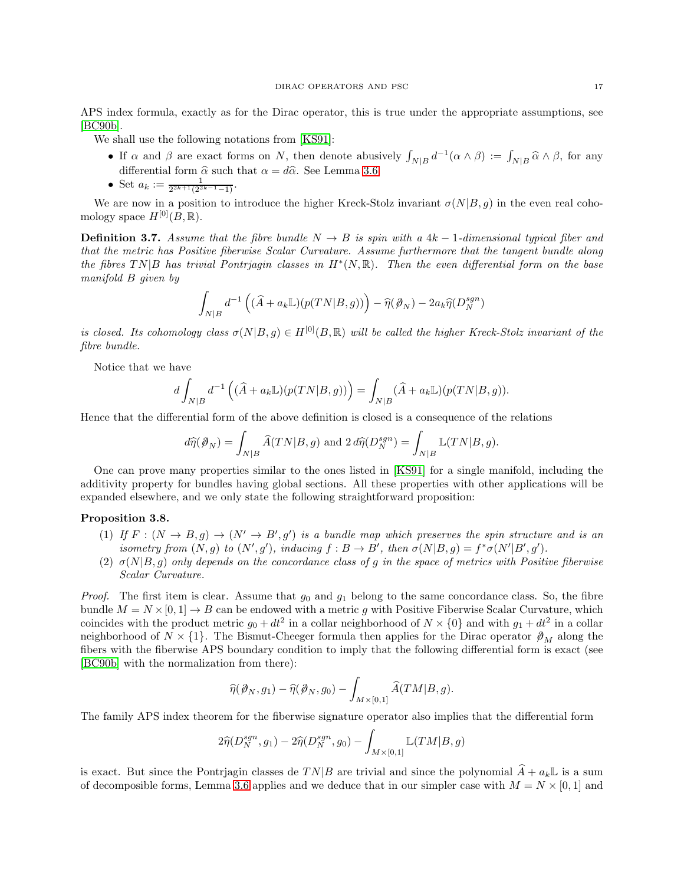APS index formula, exactly as for the Dirac operator, this is true under the appropriate assumptions, see [\[BC90b\]](#page-22-28).

We shall use the following notations from [\[KS91\]](#page-22-30):

- If  $\alpha$  and  $\beta$  are exact forms on N, then denote abusively  $\int_{N|B} d^{-1}(\alpha \wedge \beta) := \int_{N|B} \widehat{\alpha} \wedge \beta$ , for any differential form  $\hat{\alpha}$  such that  $\alpha = d\hat{\alpha}$ . See Lemma [3.6.](#page-15-0)
- Set  $a_k := \frac{1}{2^{2k+1}(2^{2k-1}-1)}$ .

We are now in a position to introduce the higher Kreck-Stolz invariant  $\sigma(N|B, g)$  in the even real cohomology space  $H^{[0]}(B,\mathbb{R})$ .

**Definition 3.7.** Assume that the fibre bundle  $N \rightarrow B$  is spin with a 4k – 1-dimensional typical fiber and that the metric has Positive fiberwise Scalar Curvature. Assume furthermore that the tangent bundle along the fibres  $TN|B$  has trivial Pontrjagin classes in  $H^*(N, \mathbb{R})$ . Then the even differential form on the base manifold B given by

$$
\int_{N|B} d^{-1} \left( (\widehat{A} + a_k \mathbb{L}) (p(TN|B, g)) \right) - \widehat{\eta}(\mathcal{D}_N) - 2a_k \widehat{\eta}(D_N^{sgn})
$$

is closed. Its cohomology class  $\sigma(N|B, g) \in H^{[0]}(B, \mathbb{R})$  will be called the higher Kreck-Stolz invariant of the fibre bundle.

Notice that we have

$$
d\int_{N\vert B}d^{-1}\left((\widehat{A}+a_k{\mathbb L})(p(T N\vert B,g))\right)=\int_{N\vert B}(\widehat{A}+a_k{\mathbb L})(p(T N\vert B,g)).
$$

Hence that the differential form of the above definition is closed is a consequence of the relations

$$
d\widehat{\eta}(\mathcal{Y}_N)=\int_{N|B}\widehat{A}(TN|B,g)\text{ and }2\,d\widehat{\eta}(D_N^{sgn})=\int_{N|B}\mathbb{L}(TN|B,g).
$$

One can prove many properties similar to the ones listed in [\[KS91\]](#page-22-30) for a single manifold, including the additivity property for bundles having global sections. All these properties with other applications will be expanded elsewhere, and we only state the following straightforward proposition:

## Proposition 3.8.

- (1) If  $F : (N \to B, g) \to (N' \to B', g')$  is a bundle map which preserves the spin structure and is an isometry from  $(N, g)$  to  $(N', g')$ , inducing  $f : B \to B'$ , then  $\sigma(N|B, g) = f^* \sigma(N'|B', g')$ .
- (2)  $\sigma(N|B,g)$  only depends on the concordance class of g in the space of metrics with Positive fiberwise Scalar Curvature.

*Proof.* The first item is clear. Assume that  $g_0$  and  $g_1$  belong to the same concordance class. So, the fibre bundle  $M = N \times [0, 1] \rightarrow B$  can be endowed with a metric g with Positive Fiberwise Scalar Curvature, which coincides with the product metric  $g_0 + dt^2$  in a collar neighborhood of  $N \times \{0\}$  and with  $g_1 + dt^2$  in a collar neighborhood of  $N \times \{1\}$ . The Bismut-Cheeger formula then applies for the Dirac operator  $\mathcal{P}_M$  along the fibers with the fiberwise APS boundary condition to imply that the following differential form is exact (see [\[BC90b\]](#page-22-28) with the normalization from there):

$$
\widehat{\eta}(\mathcal{D}_N,g_1)-\widehat{\eta}(\mathcal{D}_N,g_0)-\int_{M\times [0,1]}\widehat{A}(TM|B,g).
$$

The family APS index theorem for the fiberwise signature operator also implies that the differential form

$$
2\widehat{\eta}(D_N^{sgn}, g_1) - 2\widehat{\eta}(D_N^{sgn}, g_0) - \int_{M \times [0,1]} \mathbb{L}(TM|B, g)
$$

is exact. But since the Pontrjagin classes de  $TN|B$  are trivial and since the polynomial  $\hat{A} + a_k\mathbb{L}$  is a sum of decomposible forms, Lemma [3.6](#page-15-0) applies and we deduce that in our simpler case with  $M = N \times [0, 1]$  and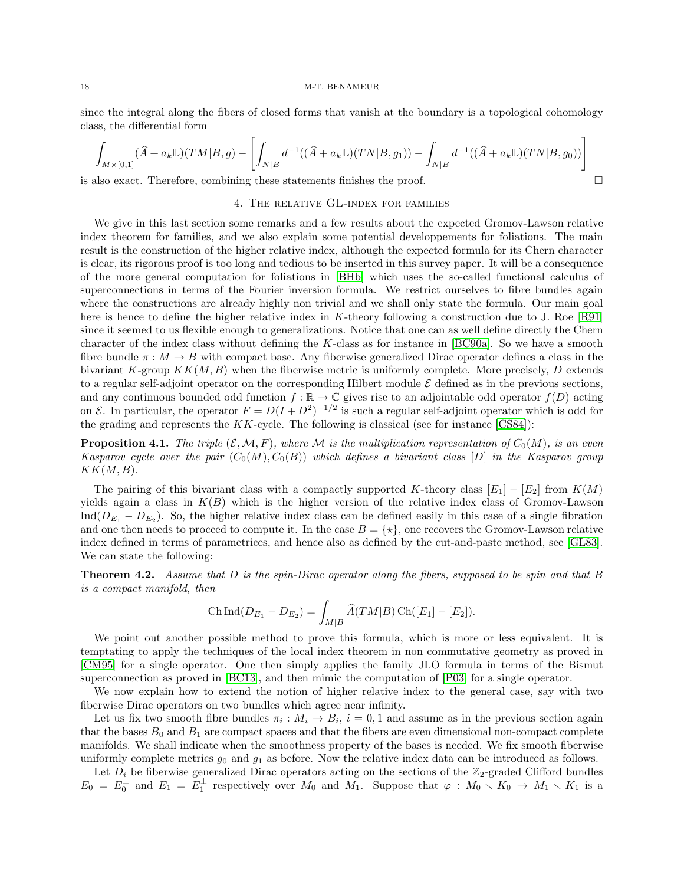since the integral along the fibers of closed forms that vanish at the boundary is a topological cohomology class, the differential form

$$
\int_{M \times [0,1]} (\hat{A} + a_k \mathbb{L})(TM|B,g) - \left[ \int_{N|B} d^{-1}((\hat{A} + a_k \mathbb{L})(TN|B,g_1)) - \int_{N|B} d^{-1}((\hat{A} + a_k \mathbb{L})(TN|B,g_0)) \right]
$$

<span id="page-17-0"></span>is also exact. Therefore, combining these statements finishes the proof.

# 4. The relative GL-index for families

We give in this last section some remarks and a few results about the expected Gromov-Lawson relative index theorem for families, and we also explain some potential developpements for foliations. The main result is the construction of the higher relative index, although the expected formula for its Chern character is clear, its rigorous proof is too long and tedious to be inserted in this survey paper. It will be a consequence of the more general computation for foliations in [\[BHb\]](#page-21-18) which uses the so-called functional calculus of superconnections in terms of the Fourier inversion formula. We restrict ourselves to fibre bundles again where the constructions are already highly non trivial and we shall only state the formula. Our main goal here is hence to define the higher relative index in K-theory following a construction due to J. Roe [\[R91\]](#page-23-16) since it seemed to us flexible enough to generalizations. Notice that one can as well define directly the Chern character of the index class without defining the K-class as for instance in [\[BC90a\]](#page-21-9). So we have a smooth fibre bundle  $\pi : M \to B$  with compact base. Any fiberwise generalized Dirac operator defines a class in the bivariant K-group  $KK(M, B)$  when the fiberwise metric is uniformly complete. More precisely, D extends to a regular self-adjoint operator on the corresponding Hilbert module  $\mathcal E$  defined as in the previous sections, and any continuous bounded odd function  $f : \mathbb{R} \to \mathbb{C}$  gives rise to an adjointable odd operator  $f(D)$  acting on E. In particular, the operator  $F = D(I + D^2)^{-1/2}$  is such a regular self-adjoint operator which is odd for the grading and represents the  $KK$ -cycle. The following is classical (see for instance [\[CS84\]](#page-22-16)):

**Proposition 4.1.** The triple  $(\mathcal{E}, \mathcal{M}, F)$ , where M is the multiplication representation of  $C_0(M)$ , is an even Kasparov cycle over the pair  $(C_0(M), C_0(B))$  which defines a bivariant class [D] in the Kasparov group  $KK(M, B)$ .

The pairing of this bivariant class with a compactly supported K-theory class  $[E_1] - [E_2]$  from  $K(M)$ yields again a class in  $K(B)$  which is the higher version of the relative index class of Gromov-Lawson  $\text{Ind}(D_{E_1} - D_{E_2})$ . So, the higher relative index class can be defined easily in this case of a single fibration and one then needs to proceed to compute it. In the case  $B = \{ \star \}$ , one recovers the Gromov-Lawson relative index defined in terms of parametrices, and hence also as defined by the cut-and-paste method, see [\[GL83\]](#page-22-5). We can state the following:

**Theorem 4.2.** Assume that D is the spin-Dirac operator along the fibers, supposed to be spin and that B is a compact manifold, then

Ch Ind
$$
(D_{E_1} - D_{E_2}) = \int_{M|B} \widehat{A}(TM|B) \operatorname{Ch}([E_1] - [E_2]).
$$

We point out another possible method to prove this formula, which is more or less equivalent. It is temptating to apply the techniques of the local index theorem in non commutative geometry as proved in [\[CM95\]](#page-22-31) for a single operator. One then simply applies the family JLO formula in terms of the Bismut superconnection as proved in [\[BC13\]](#page-21-19), and then mimic the computation of [\[P03\]](#page-23-17) for a single operator.

We now explain how to extend the notion of higher relative index to the general case, say with two fiberwise Dirac operators on two bundles which agree near infinity.

Let us fix two smooth fibre bundles  $\pi_i : M_i \to B_i$ ,  $i = 0, 1$  and assume as in the previous section again that the bases  $B_0$  and  $B_1$  are compact spaces and that the fibers are even dimensional non-compact complete manifolds. We shall indicate when the smoothness property of the bases is needed. We fix smooth fiberwise uniformly complete metrics  $q_0$  and  $q_1$  as before. Now the relative index data can be introduced as follows.

Let  $D_i$  be fiberwise generalized Dirac operators acting on the sections of the  $\mathbb{Z}_2$ -graded Clifford bundles  $E_0 = E_0^{\pm}$  and  $E_1 = E_1^{\pm}$  respectively over  $M_0$  and  $M_1$ . Suppose that  $\varphi : M_0 \setminus K_0 \to M_1 \setminus K_1$  is a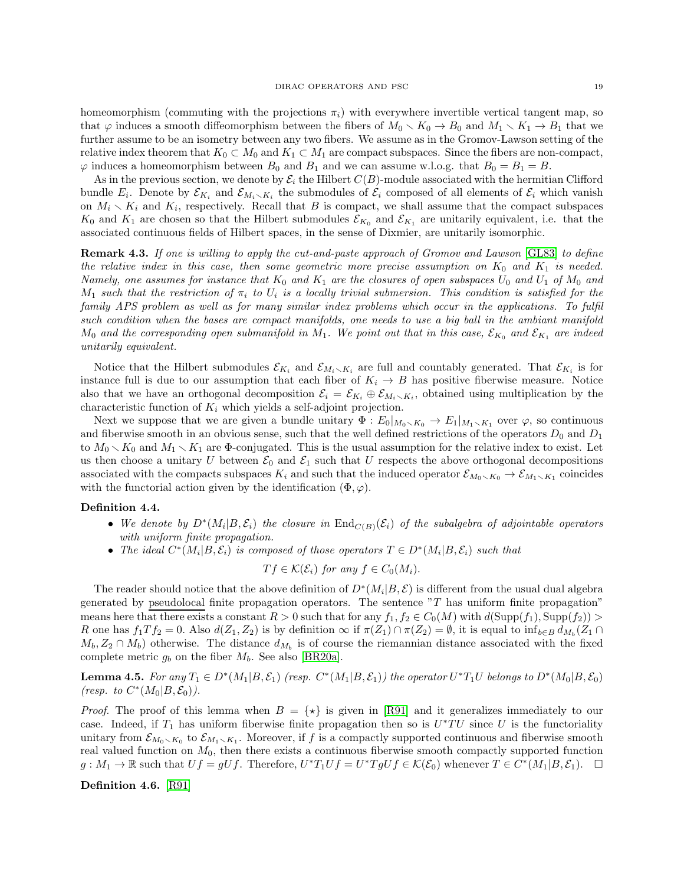homeomorphism (commuting with the projections  $\pi_i$ ) with everywhere invertible vertical tangent map, so that  $\varphi$  induces a smooth diffeomorphism between the fibers of  $M_0 \setminus K_0 \to B_0$  and  $M_1 \setminus K_1 \to B_1$  that we further assume to be an isometry between any two fibers. We assume as in the Gromov-Lawson setting of the relative index theorem that  $K_0 \subset M_0$  and  $K_1 \subset M_1$  are compact subspaces. Since the fibers are non-compact,  $\varphi$  induces a homeomorphism between  $B_0$  and  $B_1$  and we can assume w.l.o.g. that  $B_0 = B_1 = B$ .

As in the previous section, we denote by  $\mathcal{E}_i$  the Hilbert  $C(B)$ -module associated with the hermitian Clifford bundle  $E_i$ . Denote by  $\mathcal{E}_{K_i}$  and  $\mathcal{E}_{M_i \setminus K_i}$  the submodules of  $\mathcal{E}_i$  composed of all elements of  $\mathcal{E}_i$  which vanish on  $M_i \setminus K_i$  and  $K_i$ , respectively. Recall that B is compact, we shall assume that the compact subspaces  $K_0$  and  $K_1$  are chosen so that the Hilbert submodules  $\mathcal{E}_{K_0}$  and  $\mathcal{E}_{K_1}$  are unitarily equivalent, i.e. that the associated continuous fields of Hilbert spaces, in the sense of Dixmier, are unitarily isomorphic.

Remark 4.3. If one is willing to apply the cut-and-paste approach of Gromov and Lawson [\[GL83\]](#page-22-5) to define the relative index in this case, then some geometric more precise assumption on  $K_0$  and  $K_1$  is needed. Namely, one assumes for instance that  $K_0$  and  $K_1$  are the closures of open subspaces  $U_0$  and  $U_1$  of  $M_0$  and  $M_1$  such that the restriction of  $\pi_i$  to  $U_i$  is a locally trivial submersion. This condition is satisfied for the family APS problem as well as for many similar index problems which occur in the applications. To fulfil such condition when the bases are compact manifolds, one needs to use a big ball in the ambiant manifold  $M_0$  and the corresponding open submanifold in  $M_1$ . We point out that in this case,  $\mathcal{E}_{K_0}$  and  $\mathcal{E}_{K_1}$  are indeed unitarily equivalent.

Notice that the Hilbert submodules  $\mathcal{E}_{K_i}$  and  $\mathcal{E}_{M_i \setminus K_i}$  are full and countably generated. That  $\mathcal{E}_{K_i}$  is for instance full is due to our assumption that each fiber of  $K_i \rightarrow B$  has positive fiberwise measure. Notice also that we have an orthogonal decomposition  $\mathcal{E}_i = \mathcal{E}_{K_i} \oplus \mathcal{E}_{M_i \setminus K_i}$ , obtained using multiplication by the characteristic function of  $K_i$  which yields a self-adjoint projection.

Next we suppose that we are given a bundle unitary  $\Phi: E_0|_{M_0 \setminus K_0} \to E_1|_{M_1 \setminus K_1}$  over  $\varphi$ , so continuous and fiberwise smooth in an obvious sense, such that the well defined restrictions of the operators  $D_0$  and  $D_1$ to  $M_0 \setminus K_0$  and  $M_1 \setminus K_1$  are  $\Phi$ -conjugated. This is the usual assumption for the relative index to exist. Let us then choose a unitary U between  $\mathcal{E}_0$  and  $\mathcal{E}_1$  such that U respects the above orthogonal decompositions associated with the compacts subspaces  $K_i$  and such that the induced operator  $\mathcal{E}_{M_0 \setminus K_0} \to \mathcal{E}_{M_1 \setminus K_1}$  coincides with the functorial action given by the identification  $(\Phi, \varphi)$ .

### Definition 4.4.

- We denote by  $D^*(M_i|B,\mathcal{E}_i)$  the closure in  $\text{End}_{C(B)}(\mathcal{E}_i)$  of the subalgebra of adjointable operators with uniform finite propagation.
- The ideal  $C^*(M_i|B,\mathcal{E}_i)$  is composed of those operators  $T \in D^*(M_i|B,\mathcal{E}_i)$  such that

$$
Tf \in \mathcal{K}(\mathcal{E}_i) \text{ for any } f \in C_0(M_i).
$$

The reader should notice that the above definition of  $D^*(M_i|B,\mathcal{E})$  is different from the usual dual algebra generated by pseudolocal finite propagation operators. The sentence "T has uniform finite propagation" means here that there exists a constant  $R > 0$  such that for any  $f_1, f_2 \in C_0(M)$  with  $d(\text{Supp}(f_1), \text{Supp}(f_2)) >$ R one has  $f_1Tf_2 = 0$ . Also  $d(Z_1, Z_2)$  is by definition  $\infty$  if  $\pi(Z_1) \cap \pi(Z_2) = \emptyset$ , it is equal to  $\inf_{b \in B} d_{M_b}(Z_1 \cap$  $(M_b, Z_2 \cap M_b)$  otherwise. The distance  $d_{M_b}$  is of course the riemannian distance associated with the fixed complete metric  $g_b$  on the fiber  $M_b$ . See also [\[BR20a\]](#page-21-20).

**Lemma 4.5.** For any  $T_1 \in D^*(M_1|B, \mathcal{E}_1)$  (resp.  $C^*(M_1|B, \mathcal{E}_1)$ ) the operator  $U^*T_1U$  belongs to  $D^*(M_0|B, \mathcal{E}_0)$ (resp. to  $C^*(M_0|B,\mathcal{E}_0)$ ).

*Proof.* The proof of this lemma when  $B = \{ \star \}$  is given in [\[R91\]](#page-23-16) and it generalizes immediately to our case. Indeed, if  $T_1$  has uniform fiberwise finite propagation then so is  $U^*TU$  since U is the functoriality unitary from  $\mathcal{E}_{M_0\setminus K_0}$  to  $\mathcal{E}_{M_1\setminus K_1}$ . Moreover, if f is a compactly supported continuous and fiberwise smooth real valued function on  $M_0$ , then there exists a continuous fiberwise smooth compactly supported function  $g: M_1 \to \mathbb{R}$  such that  $Uf = gUf$ . Therefore,  $U^*T_1Uf = U^*TgUf \in \mathcal{K}(\mathcal{E}_0)$  whenever  $T \in C^*(M_1|B,\mathcal{E}_1)$ .  $\Box$ 

Definition 4.6. [\[R91\]](#page-23-16)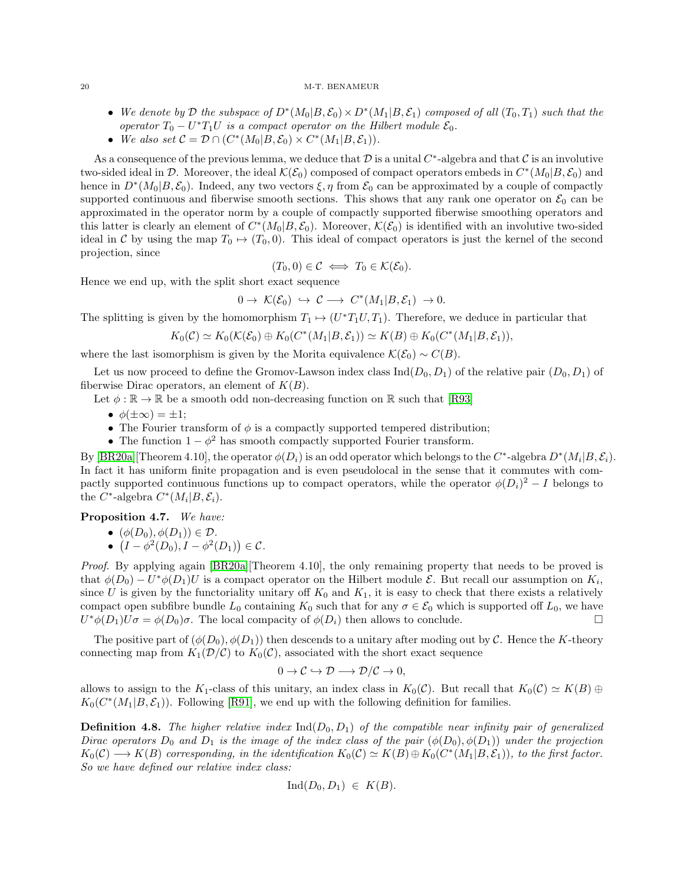- We denote by D the subspace of  $D^*(M_0|B,\mathcal{E}_0)\times D^*(M_1|B,\mathcal{E}_1)$  composed of all  $(T_0,T_1)$  such that the operator  $T_0 - U^*T_1U$  is a compact operator on the Hilbert module  $\mathcal{E}_0$ .
- We also set  $C = \mathcal{D} \cap (C^*(M_0|B,\mathcal{E}_0) \times C^*(M_1|B,\mathcal{E}_1)).$

As a consequence of the previous lemma, we deduce that  $\mathcal D$  is a unital  $C^*$ -algebra and that  $\mathcal C$  is an involutive two-sided ideal in D. Moreover, the ideal  $\mathcal{K}(\mathcal{E}_0)$  composed of compact operators embeds in  $C^*(M_0|B,\mathcal{E}_0)$  and hence in  $D^*(M_0|B,\mathcal{E}_0)$ . Indeed, any two vectors  $\xi, \eta$  from  $\mathcal{E}_0$  can be approximated by a couple of compactly supported continuous and fiberwise smooth sections. This shows that any rank one operator on  $\mathcal{E}_0$  can be approximated in the operator norm by a couple of compactly supported fiberwise smoothing operators and this latter is clearly an element of  $C^*(M_0|B,\mathcal{E}_0)$ . Moreover,  $\mathcal{K}(\mathcal{E}_0)$  is identified with an involutive two-sided ideal in C by using the map  $T_0 \rightarrow (T_0, 0)$ . This ideal of compact operators is just the kernel of the second projection, since

$$
(T_0,0)\in\mathcal{C}\iff T_0\in\mathcal{K}(\mathcal{E}_0).
$$

Hence we end up, with the split short exact sequence

$$
0 \to \mathcal{K}(\mathcal{E}_0) \hookrightarrow \mathcal{C} \longrightarrow C^*(M_1|B,\mathcal{E}_1) \to 0.
$$

The splitting is given by the homomorphism  $T_1 \mapsto (U^*T_1U, T_1)$ . Therefore, we deduce in particular that

$$
K_0(\mathcal{C}) \simeq K_0(\mathcal{K}(\mathcal{E}_0) \oplus K_0(C^*(M_1|B,\mathcal{E}_1)) \simeq K(B) \oplus K_0(C^*(M_1|B,\mathcal{E}_1)),
$$

where the last isomorphism is given by the Morita equivalence  $\mathcal{K}(\mathcal{E}_0) \sim C(B)$ .

Let us now proceed to define the Gromov-Lawson index class  $\text{Ind}(D_0, D_1)$  of the relative pair  $(D_0, D_1)$  of fiberwise Dirac operators, an element of  $K(B)$ .

Let  $\phi:\mathbb{R}\to\mathbb{R}$  be a smooth odd non-decreasing function on  $\mathbb{R}$  such that [\[R93\]](#page-23-18)

- $\phi(\pm\infty) = \pm 1;$
- The Fourier transform of  $\phi$  is a compactly supported tempered distribution;
- The function  $1 \phi^2$  has smooth compactly supported Fourier transform.

By [\[BR20a\]](#page-21-20)[Theorem 4.10], the operator  $\phi(D_i)$  is an odd operator which belongs to the  $C^*$ -algebra  $D^*(M_i|B,\mathcal{E}_i)$ . In fact it has uniform finite propagation and is even pseudolocal in the sense that it commutes with compactly supported continuous functions up to compact operators, while the operator  $\phi(D_i)^2 - I$  belongs to the C<sup>\*</sup>-algebra  $C^*(M_i|B,\mathcal{E}_i)$ .

Proposition 4.7. We have:

•  $(\phi(D_0), \phi(D_1)) \in \mathcal{D}$ .

•  $(I - \phi^2(D_0), I - \phi^2(D_1)) \in C$ .

Proof. By applying again [\[BR20a\]](#page-21-20)[Theorem 4.10], the only remaining property that needs to be proved is that  $\phi(D_0) - U^* \phi(D_1) U$  is a compact operator on the Hilbert module  $\mathcal{E}$ . But recall our assumption on  $K_i$ , since U is given by the functoriality unitary off  $K_0$  and  $K_1$ , it is easy to check that there exists a relatively compact open subfibre bundle  $L_0$  containing  $K_0$  such that for any  $\sigma \in \mathcal{E}_0$  which is supported off  $L_0$ , we have  $U^*\phi(D_1)U\sigma = \phi(D_0)\sigma$ . The local compacity of  $\phi(D_i)$  then allows to conclude.  $U^*\phi(D_1)U\sigma = \phi(D_0)\sigma$ . The local compacity of  $\phi(D_i)$  then allows to conclude.

The positive part of  $(\phi(D_0), \phi(D_1))$  then descends to a unitary after moding out by C. Hence the K-theory connecting map from  $K_1(\mathcal{D}/\mathcal{C})$  to  $K_0(\mathcal{C})$ , associated with the short exact sequence

$$
0 \to \mathcal{C} \hookrightarrow \mathcal{D} \longrightarrow \mathcal{D}/\mathcal{C} \to 0,
$$

allows to assign to the K<sub>1</sub>-class of this unitary, an index class in  $K_0(\mathcal{C})$ . But recall that  $K_0(\mathcal{C}) \simeq K(B) \oplus$  $K_0(C^*(M_1|B,\mathcal{E}_1))$ . Following [\[R91\]](#page-23-16), we end up with the following definition for families.

**Definition 4.8.** The higher relative index  $\text{Ind}(D_0, D_1)$  of the compatible near infinity pair of generalized Dirac operators  $D_0$  and  $D_1$  is the image of the index class of the pair  $(\phi(D_0), \phi(D_1))$  under the projection  $K_0(\mathcal{C}) \longrightarrow K(B)$  corresponding, in the identification  $K_0(\mathcal{C}) \simeq K(B) \oplus K_0(C^*(M_1|B,\mathcal{E}_1))$ , to the first factor. So we have defined our relative index class:

$$
Ind(D_0, D_1) \in K(B).
$$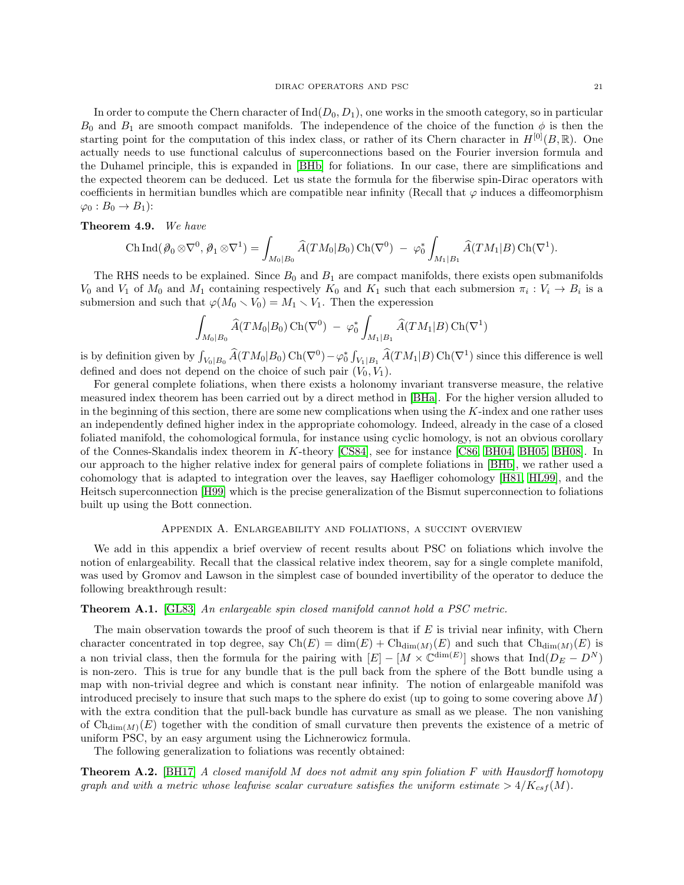In order to compute the Chern character of  $\text{Ind}(D_0, D_1)$ , one works in the smooth category, so in particular  $B_0$  and  $B_1$  are smooth compact manifolds. The independence of the choice of the function  $\phi$  is then the starting point for the computation of this index class, or rather of its Chern character in  $H^{[0]}(B,\mathbb{R})$ . One actually needs to use functional calculus of superconnections based on the Fourier inversion formula and the Duhamel principle, this is expanded in [\[BHb\]](#page-21-18) for foliations. In our case, there are simplifications and the expected theorem can be deduced. Let us state the formula for the fiberwise spin-Dirac operators with coefficients in hermitian bundles which are compatible near infinity (Recall that  $\varphi$  induces a diffeomorphism  $\varphi_0 : B_0 \to B_1$ :

## Theorem 4.9. We have

$$
\operatorname{Ch} \operatorname{Ind} (\partial_0 \otimes \nabla^0, \partial_1 \otimes \nabla^1) = \int_{M_0|B_0} \widehat{A}(TM_0|B_0) \operatorname{Ch}(\nabla^0) - \varphi_0^* \int_{M_1|B_1} \widehat{A}(TM_1|B) \operatorname{Ch}(\nabla^1).
$$

The RHS needs to be explained. Since  $B_0$  and  $B_1$  are compact manifolds, there exists open submanifolds  $V_0$  and  $V_1$  of  $M_0$  and  $M_1$  containing respectively  $K_0$  and  $K_1$  such that each submersion  $\pi_i : V_i \to B_i$  is a submersion and such that  $\varphi(M_0 \setminus V_0) = M_1 \setminus V_1$ . Then the experession

$$
\int_{M_0|B_0} \widehat{A}(TM_0|B_0) \operatorname{Ch}(\nabla^0) - \varphi_0^* \int_{M_1|B_1} \widehat{A}(TM_1|B) \operatorname{Ch}(\nabla^1)
$$

is by definition given by  $\int_{V_0|B_0} \widehat{A}(TM_0|B_0) \operatorname{Ch}(\nabla^0) - \varphi_0^* \int_{V_1|B_1} \widehat{A}(TM_1|B) \operatorname{Ch}(\nabla^1)$  since this difference is well defined and does not depend on the choice of such pair  $(\vec{V_0}, \vec{V_1})$ .

For general complete foliations, when there exists a holonomy invariant transverse measure, the relative measured index theorem has been carried out by a direct method in [\[BHa\]](#page-21-7). For the higher version alluded to in the beginning of this section, there are some new complications when using the  $K$ -index and one rather uses an independently defined higher index in the appropriate cohomology. Indeed, already in the case of a closed foliated manifold, the cohomological formula, for instance using cyclic homology, is not an obvious corollary of the Connes-Skandalis index theorem in K-theory [\[CS84\]](#page-22-16), see for instance [\[C86,](#page-22-6) [BH04,](#page-21-21) [BH05,](#page-21-22) [BH08\]](#page-21-23). In our approach to the higher relative index for general pairs of complete foliations in [\[BHb\]](#page-21-18), we rather used a cohomology that is adapted to integration over the leaves, say Haefliger cohomology [\[H81,](#page-22-32) [HL99\]](#page-22-17), and the Heitsch superconnection [\[H99\]](#page-22-33) which is the precise generalization of the Bismut superconnection to foliations built up using the Bott connection.

## Appendix A. Enlargeability and foliations, a succint overview

<span id="page-20-0"></span>We add in this appendix a brief overview of recent results about PSC on foliations which involve the notion of enlargeability. Recall that the classical relative index theorem, say for a single complete manifold, was used by Gromov and Lawson in the simplest case of bounded invertibility of the operator to deduce the following breakthrough result:

## Theorem A.1. [\[GL83\]](#page-22-5) An enlargeable spin closed manifold cannot hold a PSC metric.

The main observation towards the proof of such theorem is that if  $E$  is trivial near infinity, with Chern character concentrated in top degree, say  $Ch(E) = dim(E) + Ch_{dim(M)}(E)$  and such that  $Ch_{dim(M)}(E)$  is a non trivial class, then the formula for the pairing with  $[E] - [M \times \mathbb{C}^{\dim(E)}]$  shows that  $\text{Ind}(D_E - D^N)$ is non-zero. This is true for any bundle that is the pull back from the sphere of the Bott bundle using a map with non-trivial degree and which is constant near infinity. The notion of enlargeable manifold was introduced precisely to insure that such maps to the sphere do exist (up to going to some covering above  $M$ ) with the extra condition that the pull-back bundle has curvature as small as we please. The non vanishing of  $\mathrm{Ch}_{\dim(M)}(E)$  together with the condition of small curvature then prevents the existence of a metric of uniform PSC, by an easy argument using the Lichnerowicz formula.

The following generalization to foliations was recently obtained:

**Theorem A.2.** [\[BH17\]](#page-21-24) A closed manifold M does not admit any spin foliation F with Hausdorff homotopy graph and with a metric whose leafwise scalar curvature satisfies the uniform estimate  $> 4/K_{csf}(M)$ .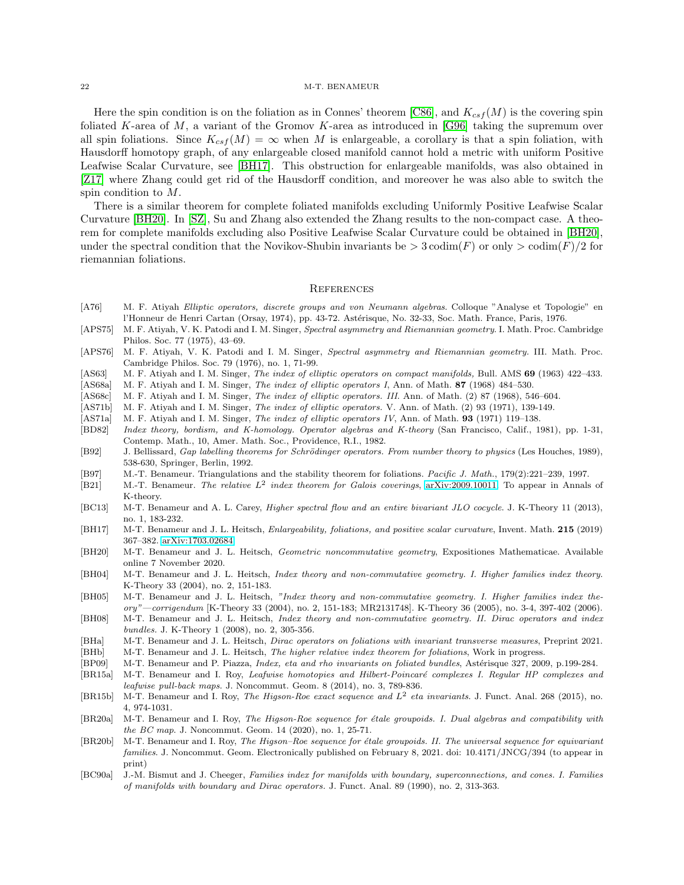Here the spin condition is on the foliation as in Connes' theorem [\[C86\]](#page-22-6), and  $K_{csf}(M)$  is the covering spin foliated K-area of M, a variant of the Gromov K-area as introduced in [\[G96\]](#page-22-34) taking the supremum over all spin foliations. Since  $K_{csf}(M) = \infty$  when M is enlargeable, a corollary is that a spin foliation, with Hausdorff homotopy graph, of any enlargeable closed manifold cannot hold a metric with uniform Positive Leafwise Scalar Curvature, see [\[BH17\]](#page-21-24). This obstruction for enlargeable manifolds, was also obtained in [\[Z17\]](#page-23-19) where Zhang could get rid of the Hausdorff condition, and moreover he was also able to switch the spin condition to M.

There is a similar theorem for complete foliated manifolds excluding Uniformly Positive Leafwise Scalar Curvature [\[BH20\]](#page-21-25). In [\[SZ\]](#page-23-20), Su and Zhang also extended the Zhang results to the non-compact case. A theorem for complete manifolds excluding also Positive Leafwise Scalar Curvature could be obtained in [\[BH20\]](#page-21-25), under the spectral condition that the Novikov-Shubin invariants be  $> 3 \text{ codim}(F)$  or only  $> \text{codim}(F)/2$  for riemannian foliations.

### <span id="page-21-0"></span>**REFERENCES**

- <span id="page-21-13"></span>[A76] M. F. Atiyah Elliptic operators, discrete groups and von Neumann algebras. Colloque "Analyse et Topologie" en l'Honneur de Henri Cartan (Orsay, 1974), pp. 43-72. Astérisque, No. 32-33, Soc. Math. France, Paris, 1976.
- <span id="page-21-3"></span>[APS75] M. F. Atiyah, V. K. Patodi and I. M. Singer, Spectral asymmetry and Riemannian geometry. I. Math. Proc. Cambridge Philos. Soc. 77 (1975), 43–69.
- <span id="page-21-5"></span>[APS76] M. F. Atiyah, V. K. Patodi and I. M. Singer, Spectral asymmetry and Riemannian geometry. III. Math. Proc. Cambridge Philos. Soc. 79 (1976), no. 1, 71-99.
- <span id="page-21-10"></span>[AS63] M. F. Atiyah and I. M. Singer, The index of elliptic operators on compact manifolds, Bull. AMS 69 (1963) 422-433.
- <span id="page-21-1"></span>[AS68a] M. F. Atiyah and I. M. Singer, *The index of elliptic operators I*, Ann. of Math. **87** (1968) 484–530.
- <span id="page-21-2"></span>[AS68c] M. F. Atiyah and I. M. Singer, The index of elliptic operators. III. Ann. of Math. (2) 87 (1968), 546–604.
- <span id="page-21-11"></span>[AS71b] M. F. Atiyah and I. M. Singer, *The index of elliptic operators*. V. Ann. of Math. (2) 93 (1971), 139-149.
- <span id="page-21-12"></span>[AS71a] M. F. Atiyah and I. M. Singer, The index of elliptic operators IV, Ann. of Math. 93 (1971) 119–138.
- [BD82] Index theory, bordism, and K-homology. Operator algebras and K-theory (San Francisco, Calif., 1981), pp. 1-31, Contemp. Math., 10, Amer. Math. Soc., Providence, R.I., 1982.
- <span id="page-21-14"></span>[B92] J. Bellissard, Gap labelling theorems for Schrödinger operators. From number theory to physics (Les Houches, 1989), 538-630, Springer, Berlin, 1992.
- <span id="page-21-16"></span>[B97] M.-T. Benameur. Triangulations and the stability theorem for foliations. Pacific J. Math., 179(2):221–239, 1997.
- <span id="page-21-4"></span>[B21] M.-T. Benameur. The relative  $L^2$  index theorem for Galois coverings, [arXiv:2009.10011.](http://arxiv.org/abs/2009.10011) To appear in Annals of K-theory.
- <span id="page-21-19"></span>[BC13] M-T. Benameur and A. L. Carey, Higher spectral flow and an entire bivariant JLO cocycle. J. K-Theory 11 (2013), no. 1, 183-232.
- <span id="page-21-24"></span>[BH17] M-T. Benameur and J. L. Heitsch, Enlargeability, foliations, and positive scalar curvature, Invent. Math. 215 (2019) 367–382. [arXiv:1703.02684](http://arxiv.org/abs/1703.02684)
- <span id="page-21-25"></span>[BH20] M-T. Benameur and J. L. Heitsch, Geometric noncommutative geometry, Expositiones Mathematicae. Available online 7 November 2020.
- <span id="page-21-21"></span>[BH04] M-T. Benameur and J. L. Heitsch, Index theory and non-commutative geometry. I. Higher families index theory. K-Theory 33 (2004), no. 2, 151-183.
- <span id="page-21-22"></span>[BH05] M-T. Benameur and J. L. Heitsch, "Index theory and non-commutative geometry. I. Higher families index theory"—corrigendum [K-Theory 33 (2004), no. 2, 151-183; MR2131748]. K-Theory 36 (2005), no. 3-4, 397-402 (2006).
- <span id="page-21-23"></span>[BH08] M-T. Benameur and J. L. Heitsch, Index theory and non-commutative geometry. II. Dirac operators and index bundles. J. K-Theory 1 (2008), no. 2, 305-356.
- <span id="page-21-7"></span>[BHa] M-T. Benameur and J. L. Heitsch, Dirac operators on foliations with invariant transverse measures, Preprint 2021.
- <span id="page-21-18"></span>[BHb] M-T. Benameur and J. L. Heitsch, *The higher relative index theorem for foliations*, Work in progress.
- <span id="page-21-8"></span>[BP09] M-T. Benameur and P. Piazza, *Index, eta and rho invariants on foliated bundles*, Astérisque 327, 2009, p.199-284.
- <span id="page-21-17"></span>[BR15a] M-T. Benameur and I. Roy, Leafwise homotopies and Hilbert-Poincaré complexes I. Regular HP complexes and leafwise pull-back maps. J. Noncommut. Geom. 8 (2014), no. 3, 789-836.
- <span id="page-21-6"></span>[BR15b] M-T. Benameur and I. Roy, The Higson-Roe exact sequence and  $L^2$  eta invariants. J. Funct. Anal. 268 (2015), no. 4, 974-1031.
- <span id="page-21-20"></span>[BR20a] M-T. Benameur and I. Roy, The Higson-Roe sequence for étale groupoids. I. Dual algebras and compatibility with the BC map. J. Noncommut. Geom. 14 (2020), no. 1, 25-71.
- <span id="page-21-15"></span>[BR20b] M-T. Benameur and I. Roy, The Higson–Roe sequence for étale groupoids. II. The universal sequence for equivariant families. J. Noncommut. Geom. Electronically published on February 8, 2021. doi: 10.4171/JNCG/394 (to appear in print)
- <span id="page-21-9"></span>[BC90a] J.-M. Bismut and J. Cheeger, Families index for manifolds with boundary, superconnections, and cones. I. Families of manifolds with boundary and Dirac operators. J. Funct. Anal. 89 (1990), no. 2, 313-363.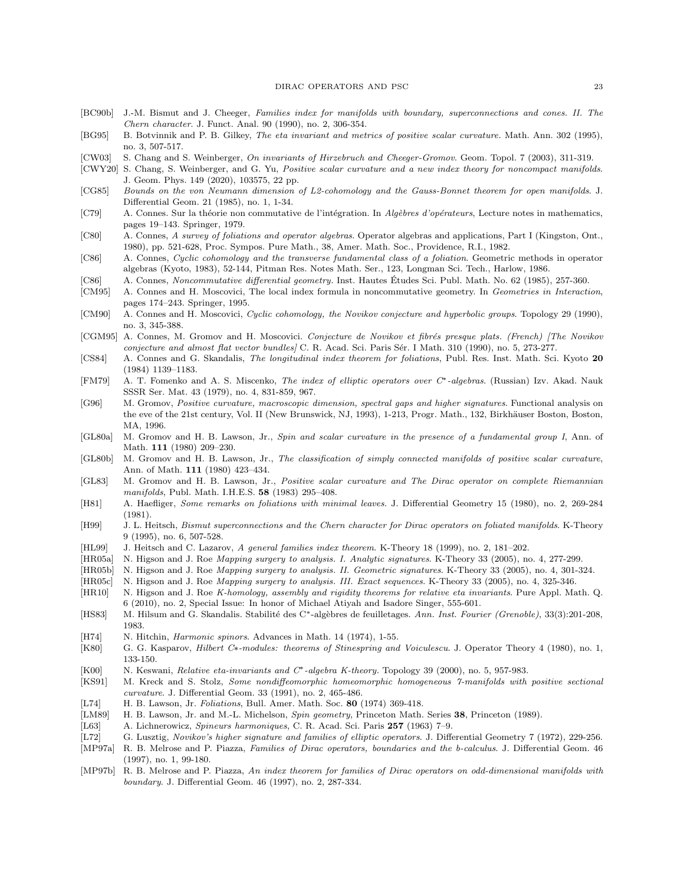#### DIRAC OPERATORS AND PSC 23

- <span id="page-22-28"></span>[BC90b] J.-M. Bismut and J. Cheeger, Families index for manifolds with boundary, superconnections and cones. II. The Chern character. J. Funct. Anal. 90 (1990), no. 2, 306-354.
- <span id="page-22-22"></span>[BG95] B. Botvinnik and P. B. Gilkey, The eta invariant and metrics of positive scalar curvature. Math. Ann. 302 (1995), no. 3, 507-517.
- <span id="page-22-23"></span>[CW03] S. Chang and S. Weinberger, On invariants of Hirzebruch and Cheeger-Gromov. Geom. Topol. 7 (2003), 311-319.
- [CWY20] S. Chang, S. Weinberger, and G. Yu, Positive scalar curvature and a new index theory for noncompact manifolds. J. Geom. Phys. 149 (2020), 103575, 22 pp.
- <span id="page-22-7"></span>[CG85] Bounds on the von Neumann dimension of L2-cohomology and the Gauss-Bonnet theorem for open manifolds. J. Differential Geom. 21 (1985), no. 1, 1-34.
- <span id="page-22-15"></span>[C79] A. Connes. Sur la théorie non commutative de l'intégration. In Algèbres d'opérateurs, Lecture notes in mathematics, pages 19–143. Springer, 1979.
- <span id="page-22-9"></span>[C80] A. Connes, A survey of foliations and operator algebras. Operator algebras and applications, Part I (Kingston, Ont., 1980), pp. 521-628, Proc. Sympos. Pure Math., 38, Amer. Math. Soc., Providence, R.I., 1982.
- <span id="page-22-6"></span>[C86] A. Connes, Cyclic cohomology and the transverse fundamental class of a foliation. Geometric methods in operator algebras (Kyoto, 1983), 52-144, Pitman Res. Notes Math. Ser., 123, Longman Sci. Tech., Harlow, 1986.
- <span id="page-22-12"></span>[C86] A. Connes, Noncommutative differential geometry. Inst. Hautes Etudes Sci. Publ. Math. No. 62 (1985), 257-360. ´
- <span id="page-22-31"></span>[CM95] A. Connes and H. Moscovici, The local index formula in noncommutative geometry. In Geometries in Interaction, pages 174–243. Springer, 1995.
- <span id="page-22-13"></span>[CM90] A. Connes and H. Moscovici, Cyclic cohomology, the Novikov conjecture and hyperbolic groups. Topology 29 (1990), no. 3, 345-388.
- <span id="page-22-14"></span>[CGM95] A. Connes, M. Gromov and H. Moscovici. Conjecture de Novikov et fibrés presque plats. (French) [The Novikov conjecture and almost flat vector bundles] C. R. Acad. Sci. Paris Sér. I Math. 310 (1990), no. 5, 273-277.
- <span id="page-22-16"></span>[CS84] A. Connes and G. Skandalis, The longitudinal index theorem for foliations, Publ. Res. Inst. Math. Sci. Kyoto 20 (1984) 1139–1183.
- <span id="page-22-11"></span>[FM79] A. T. Fomenko and A. S. Miscenko, The index of elliptic operators over C∗-algebras. (Russian) Izv. Akad. Nauk SSSR Ser. Mat. 43 (1979), no. 4, 831-859, 967.
- <span id="page-22-34"></span>[G96] M. Gromov, Positive curvature, macroscopic dimension, spectral gaps and higher signatures. Functional analysis on the eve of the 21st century, Vol. II (New Brunswick, NJ, 1993), 1-213, Progr. Math., 132, Birkhäuser Boston, Boston, MA, 1996.
- <span id="page-22-3"></span>[GL80a] M. Gromov and H. B. Lawson, Jr., Spin and scalar curvature in the presence of a fundamental group I, Ann. of Math. 111 (1980) 209–230.
- <span id="page-22-4"></span>[GL80b] M. Gromov and H. B. Lawson, Jr., The classification of simply connected manifolds of positive scalar curvature, Ann. of Math. 111 (1980) 423–434.
- <span id="page-22-5"></span>[GL83] M. Gromov and H. B. Lawson, Jr., Positive scalar curvature and The Dirac operator on complete Riemannian manifolds, Publ. Math. I.H.E.S. 58 (1983) 295–408.
- <span id="page-22-32"></span>[H81] A. Haefliger, Some remarks on foliations with minimal leaves. J. Differential Geometry 15 (1980), no. 2, 269-284 (1981).
- <span id="page-22-33"></span>[H99] J. L. Heitsch, Bismut superconnections and the Chern character for Dirac operators on foliated manifolds. K-Theory 9 (1995), no. 6, 507-528.
- <span id="page-22-17"></span>[HL99] J. Heitsch and C. Lazarov, A general families index theorem. K-Theory 18 (1999), no. 2, 181–202.
- <span id="page-22-18"></span>[HR05a] N. Higson and J. Roe Mapping surgery to analysis. I. Analytic signatures. K-Theory 33 (2005), no. 4, 277-299.
- <span id="page-22-19"></span>[HR05b] N. Higson and J. Roe Mapping surgery to analysis. II. Geometric signatures. K-Theory 33 (2005), no. 4, 301-324.
- <span id="page-22-20"></span>[HR05c] N. Higson and J. Roe Mapping surgery to analysis. III. Exact sequences. K-Theory 33 (2005), no. 4, 325-346.
- <span id="page-22-21"></span>[HR10] N. Higson and J. Roe K-homology, assembly and rigidity theorems for relative eta invariants. Pure Appl. Math. Q. 6 (2010), no. 2, Special Issue: In honor of Michael Atiyah and Isadore Singer, 555-601.
- <span id="page-22-25"></span>[HS83] M. Hilsum and G. Skandalis. Stabilité des C∗-algèbres de feuilletages. Ann. Inst. Fourier (Grenoble), 33(3):201-208, 1983.
- <span id="page-22-1"></span>[H74] N. Hitchin, *Harmonic spinors*. Advances in Math. 14 (1974), 1-55.
- <span id="page-22-26"></span>[K80] G. G. Kasparov, Hilbert C∗-modules: theorems of Stinespring and Voiculescu. J. Operator Theory 4 (1980), no. 1, 133-150.
- <span id="page-22-8"></span>[K00] N. Keswani, *Relative eta-invariants and C<sup>∗</sup>-algebra K-theory*. Topology 39 (2000), no. 5, 957-983.
- <span id="page-22-30"></span>[KS91] M. Kreck and S. Stolz, Some nondiffeomorphic homeomorphic homogeneous 7-manifolds with positive sectional curvature. J. Differential Geom. 33 (1991), no. 2, 465-486.
- <span id="page-22-24"></span>[L74] H. B. Lawson, Jr. Foliations, Bull. Amer. Math. Soc. 80 (1974) 369-418.
- <span id="page-22-27"></span>[LM89] H. B. Lawson, Jr. and M.-L. Michelson, Spin geometry, Princeton Math. Series 38, Princeton (1989).
- <span id="page-22-0"></span>[L63] A. Lichnerowicz, Spineurs harmoniques, C. R. Acad. Sci. Paris 257 (1963) 7–9.
- <span id="page-22-2"></span>[L72] G. Lusztig, Novikov's higher signature and families of elliptic operators. J. Differential Geometry 7 (1972), 229-256.
- <span id="page-22-10"></span>[MP97a] R. B. Melrose and P. Piazza, Families of Dirac operators, boundaries and the b-calculus. J. Differential Geom. 46 (1997), no. 1, 99-180.
- <span id="page-22-29"></span>[MP97b] R. B. Melrose and P. Piazza, An index theorem for families of Dirac operators on odd-dimensional manifolds with boundary. J. Differential Geom. 46 (1997), no. 2, 287-334.